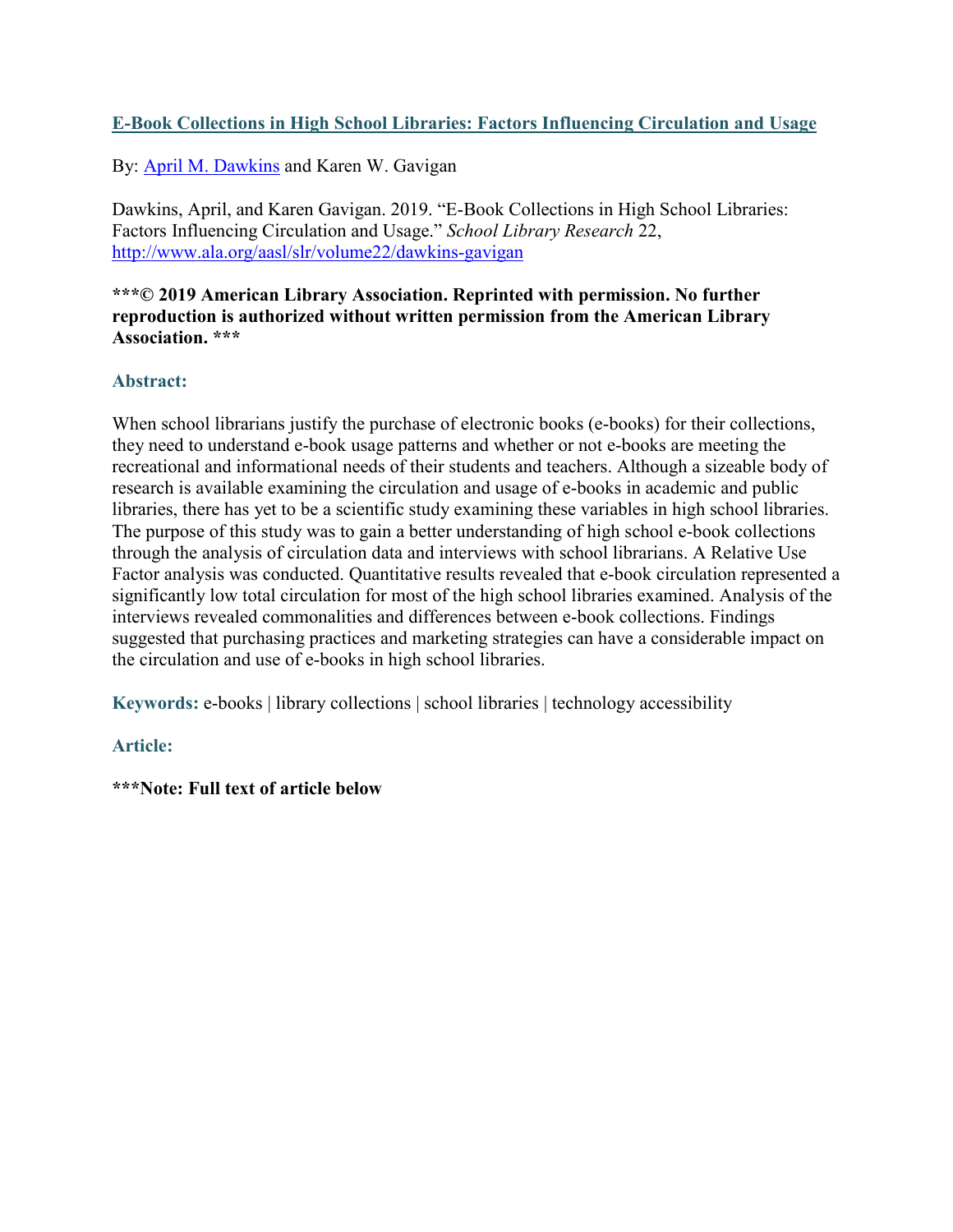### **E-Book Collections in High School Libraries: Factors Influencing Circulation and Usage**

By: [April M. Dawkins](http://libres.uncg.edu/ir/uncg/clist.aspx?id=14819) and Karen W. Gavigan

Dawkins, April, and Karen Gavigan. 2019. "E-Book Collections in High School Libraries: Factors Influencing Circulation and Usage." *School Library Research* 22, <http://www.ala.org/aasl/slr/volume22/dawkins-gavigan>

#### **\*\*\*© 2019 American Library Association. Reprinted with permission. No further reproduction is authorized without written permission from the American Library Association. \*\*\***

### **Abstract:**

When school librarians justify the purchase of electronic books (e-books) for their collections, they need to understand e-book usage patterns and whether or not e-books are meeting the recreational and informational needs of their students and teachers. Although a sizeable body of research is available examining the circulation and usage of e-books in academic and public libraries, there has yet to be a scientific study examining these variables in high school libraries. The purpose of this study was to gain a better understanding of high school e-book collections through the analysis of circulation data and interviews with school librarians. A Relative Use Factor analysis was conducted. Quantitative results revealed that e-book circulation represented a significantly low total circulation for most of the high school libraries examined. Analysis of the interviews revealed commonalities and differences between e-book collections. Findings suggested that purchasing practices and marketing strategies can have a considerable impact on the circulation and use of e-books in high school libraries.

**Keywords:** e-books | library collections | school libraries | technology accessibility

### **Article:**

**\*\*\*Note: Full text of article below**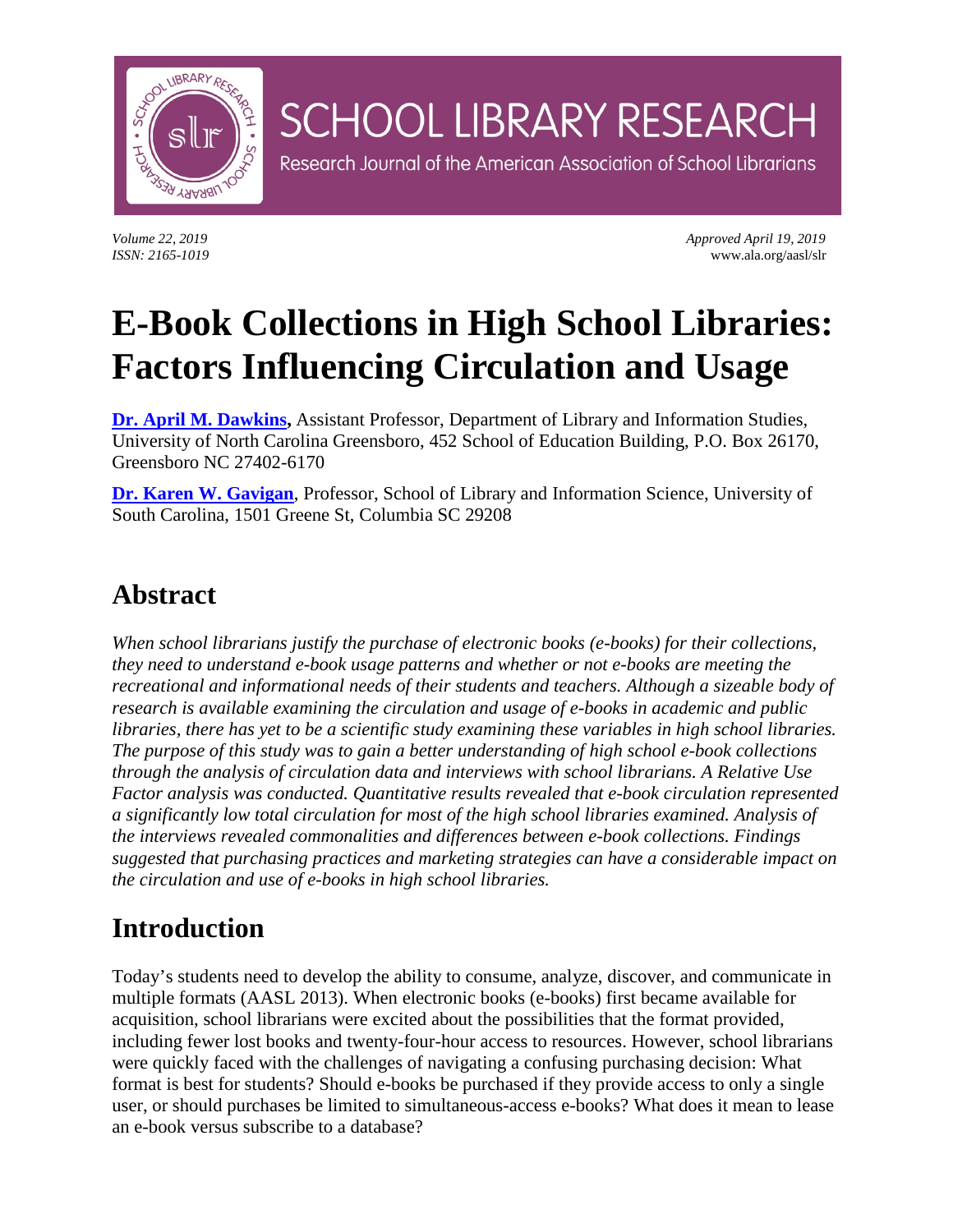

*Volume 22, 2019 Approved April 19, 2019 ISSN: 2165-1019* www.ala.org/aasl/slr

# **E-Book Collections in High School Libraries: Factors Influencing Circulation and Usage**

**SCHOOL LIBRARY RESEARCH** 

Research Journal of the American Association of School Librarians

**[Dr. April M. Dawkins,](mailto:amdawkin@uncg.edu)** Assistant Professor, Department of Library and Information Studies, University of North Carolina Greensboro, 452 School of Education Building, P.O. Box 26170, Greensboro NC 27402-6170

**[Dr. Karen W. Gavigan](mailto:kgavigan@mailbox.sc.edu)**, Professor, School of Library and Information Science, University of South Carolina, 1501 Greene St, Columbia SC 29208

## **Abstract**

*When school librarians justify the purchase of electronic books (e-books) for their collections, they need to understand e-book usage patterns and whether or not e-books are meeting the recreational and informational needs of their students and teachers. Although a sizeable body of research is available examining the circulation and usage of e-books in academic and public libraries, there has yet to be a scientific study examining these variables in high school libraries. The purpose of this study was to gain a better understanding of high school e-book collections through the analysis of circulation data and interviews with school librarians. A Relative Use Factor analysis was conducted. Quantitative results revealed that e-book circulation represented a significantly low total circulation for most of the high school libraries examined. Analysis of the interviews revealed commonalities and differences between e-book collections. Findings suggested that purchasing practices and marketing strategies can have a considerable impact on the circulation and use of e-books in high school libraries.*

## **Introduction**

Today's students need to develop the ability to consume, analyze, discover, and communicate in multiple formats (AASL 2013). When electronic books (e-books) first became available for acquisition, school librarians were excited about the possibilities that the format provided, including fewer lost books and twenty-four-hour access to resources. However, school librarians were quickly faced with the challenges of navigating a confusing purchasing decision: What format is best for students? Should e-books be purchased if they provide access to only a single user, or should purchases be limited to simultaneous-access e-books? What does it mean to lease an e-book versus subscribe to a database?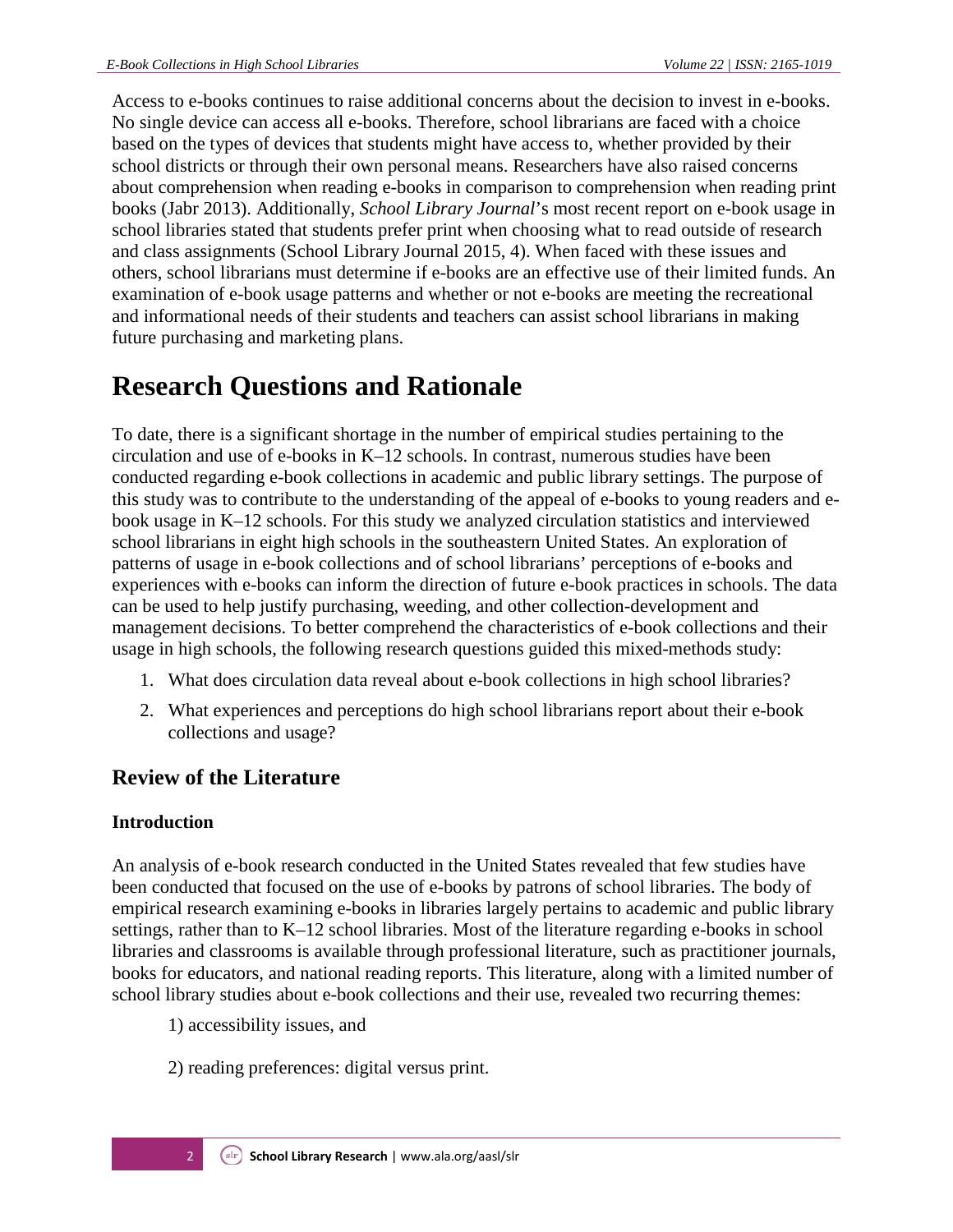Access to e-books continues to raise additional concerns about the decision to invest in e-books. No single device can access all e-books. Therefore, school librarians are faced with a choice based on the types of devices that students might have access to, whether provided by their school districts or through their own personal means. Researchers have also raised concerns about comprehension when reading e-books in comparison to comprehension when reading print books (Jabr 2013). Additionally, *School Library Journal*'s most recent report on e-book usage in school libraries stated that students prefer print when choosing what to read outside of research and class assignments (School Library Journal 2015, 4). When faced with these issues and others, school librarians must determine if e-books are an effective use of their limited funds. An examination of e-book usage patterns and whether or not e-books are meeting the recreational and informational needs of their students and teachers can assist school librarians in making future purchasing and marketing plans.

## **Research Questions and Rationale**

To date, there is a significant shortage in the number of empirical studies pertaining to the circulation and use of e-books in K–12 schools. In contrast, numerous studies have been conducted regarding e-book collections in academic and public library settings. The purpose of this study was to contribute to the understanding of the appeal of e-books to young readers and ebook usage in K–12 schools. For this study we analyzed circulation statistics and interviewed school librarians in eight high schools in the southeastern United States. An exploration of patterns of usage in e-book collections and of school librarians' perceptions of e-books and experiences with e-books can inform the direction of future e-book practices in schools. The data can be used to help justify purchasing, weeding, and other collection-development and management decisions. To better comprehend the characteristics of e-book collections and their usage in high schools, the following research questions guided this mixed-methods study:

- 1. What does circulation data reveal about e-book collections in high school libraries?
- 2. What experiences and perceptions do high school librarians report about their e-book collections and usage?

## **Review of the Literature**

### **Introduction**

An analysis of e-book research conducted in the United States revealed that few studies have been conducted that focused on the use of e-books by patrons of school libraries. The body of empirical research examining e-books in libraries largely pertains to academic and public library settings, rather than to K–12 school libraries. Most of the literature regarding e-books in school libraries and classrooms is available through professional literature, such as practitioner journals, books for educators, and national reading reports. This literature, along with a limited number of school library studies about e-book collections and their use, revealed two recurring themes:

- 1) accessibility issues, and
- 2) reading preferences: digital versus print.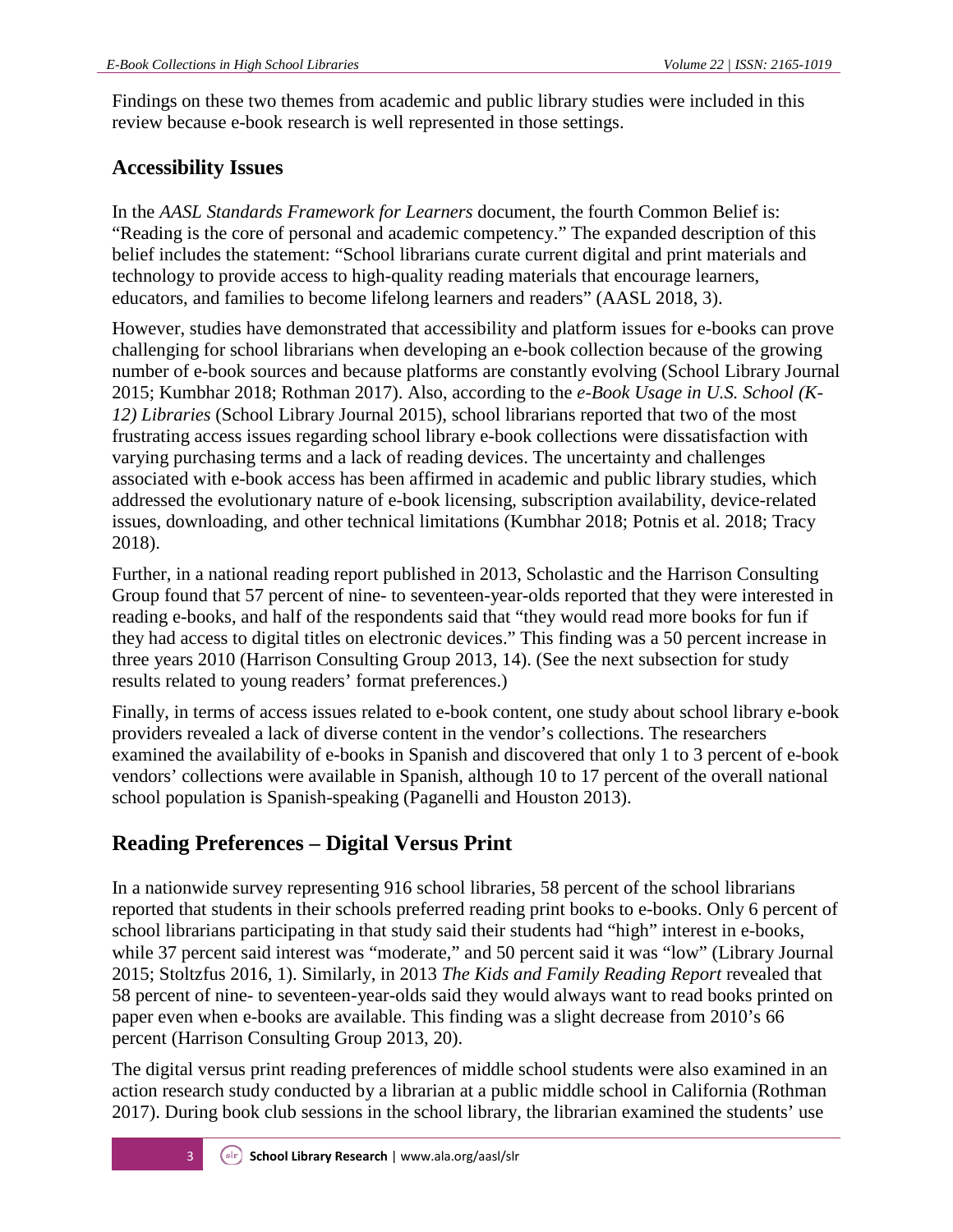Findings on these two themes from academic and public library studies were included in this review because e-book research is well represented in those settings.

### **Accessibility Issues**

In the *AASL Standards Framework for Learners* document, the fourth Common Belief is: "Reading is the core of personal and academic competency." The expanded description of this belief includes the statement: "School librarians curate current digital and print materials and technology to provide access to high-quality reading materials that encourage learners, educators, and families to become lifelong learners and readers" (AASL 2018, 3).

However, studies have demonstrated that accessibility and platform issues for e-books can prove challenging for school librarians when developing an e-book collection because of the growing number of e-book sources and because platforms are constantly evolving (School Library Journal 2015; Kumbhar 2018; Rothman 2017). Also, according to the *e-Book Usage in U.S. School (K-12) Libraries* (School Library Journal 2015), school librarians reported that two of the most frustrating access issues regarding school library e-book collections were dissatisfaction with varying purchasing terms and a lack of reading devices. The uncertainty and challenges associated with e-book access has been affirmed in academic and public library studies, which addressed the evolutionary nature of e-book licensing, subscription availability, device-related issues, downloading, and other technical limitations (Kumbhar 2018; Potnis et al. 2018; Tracy 2018).

Further, in a national reading report published in 2013, Scholastic and the Harrison Consulting Group found that 57 percent of nine- to seventeen-year-olds reported that they were interested in reading e-books, and half of the respondents said that "they would read more books for fun if they had access to digital titles on electronic devices." This finding was a 50 percent increase in three years 2010 (Harrison Consulting Group 2013, 14). (See the next subsection for study results related to young readers' format preferences.)

Finally, in terms of access issues related to e-book content, one study about school library e-book providers revealed a lack of diverse content in the vendor's collections. The researchers examined the availability of e-books in Spanish and discovered that only 1 to 3 percent of e-book vendors' collections were available in Spanish, although 10 to 17 percent of the overall national school population is Spanish-speaking (Paganelli and Houston 2013).

## **Reading Preferences – Digital Versus Print**

In a nationwide survey representing 916 school libraries, 58 percent of the school librarians reported that students in their schools preferred reading print books to e-books. Only 6 percent of school librarians participating in that study said their students had "high" interest in e-books, while 37 percent said interest was "moderate," and 50 percent said it was "low" (Library Journal 2015; Stoltzfus 2016, 1). Similarly, in 2013 *The Kids and Family Reading Report* revealed that 58 percent of nine- to seventeen-year-olds said they would always want to read books printed on paper even when e-books are available. This finding was a slight decrease from 2010's 66 percent (Harrison Consulting Group 2013, 20).

The digital versus print reading preferences of middle school students were also examined in an action research study conducted by a librarian at a public middle school in California (Rothman 2017). During book club sessions in the school library, the librarian examined the students' use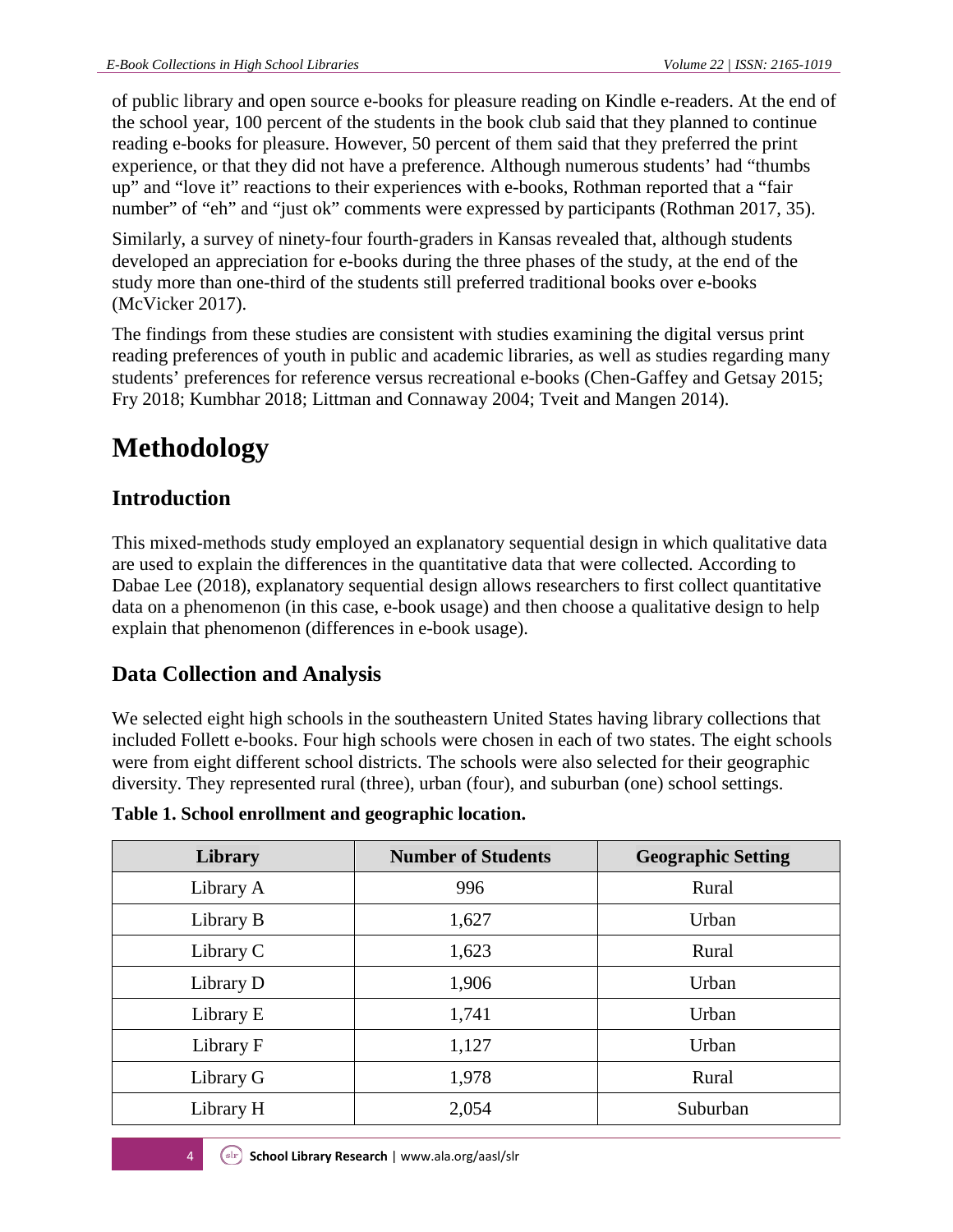of public library and open source e-books for pleasure reading on Kindle e-readers. At the end of the school year, 100 percent of the students in the book club said that they planned to continue reading e-books for pleasure. However, 50 percent of them said that they preferred the print experience, or that they did not have a preference. Although numerous students' had "thumbs up" and "love it" reactions to their experiences with e-books, Rothman reported that a "fair number" of "eh" and "just ok" comments were expressed by participants (Rothman 2017, 35).

Similarly, a survey of ninety-four fourth-graders in Kansas revealed that, although students developed an appreciation for e-books during the three phases of the study, at the end of the study more than one-third of the students still preferred traditional books over e-books (McVicker 2017).

The findings from these studies are consistent with studies examining the digital versus print reading preferences of youth in public and academic libraries, as well as studies regarding many students' preferences for reference versus recreational e-books (Chen-Gaffey and Getsay 2015; Fry 2018; Kumbhar 2018; Littman and Connaway 2004; Tveit and Mangen 2014).

## **Methodology**

## **Introduction**

This mixed-methods study employed an explanatory sequential design in which qualitative data are used to explain the differences in the quantitative data that were collected. According to Dabae Lee (2018), explanatory sequential design allows researchers to first collect quantitative data on a phenomenon (in this case, e-book usage) and then choose a qualitative design to help explain that phenomenon (differences in e-book usage).

## **Data Collection and Analysis**

We selected eight high schools in the southeastern United States having library collections that included Follett e-books. Four high schools were chosen in each of two states. The eight schools were from eight different school districts. The schools were also selected for their geographic diversity. They represented rural (three), urban (four), and suburban (one) school settings.

| Library   | <b>Number of Students</b> | <b>Geographic Setting</b> |
|-----------|---------------------------|---------------------------|
| Library A | 996                       | Rural                     |
| Library B | 1,627                     | Urban                     |
| Library C | 1,623                     | Rural                     |
| Library D | 1,906                     | Urban                     |
| Library E | 1,741                     | Urban                     |
| Library F | 1,127                     | Urban                     |
| Library G | 1,978                     | Rural                     |
| Library H | 2,054                     | Suburban                  |

**Table 1. School enrollment and geographic location.**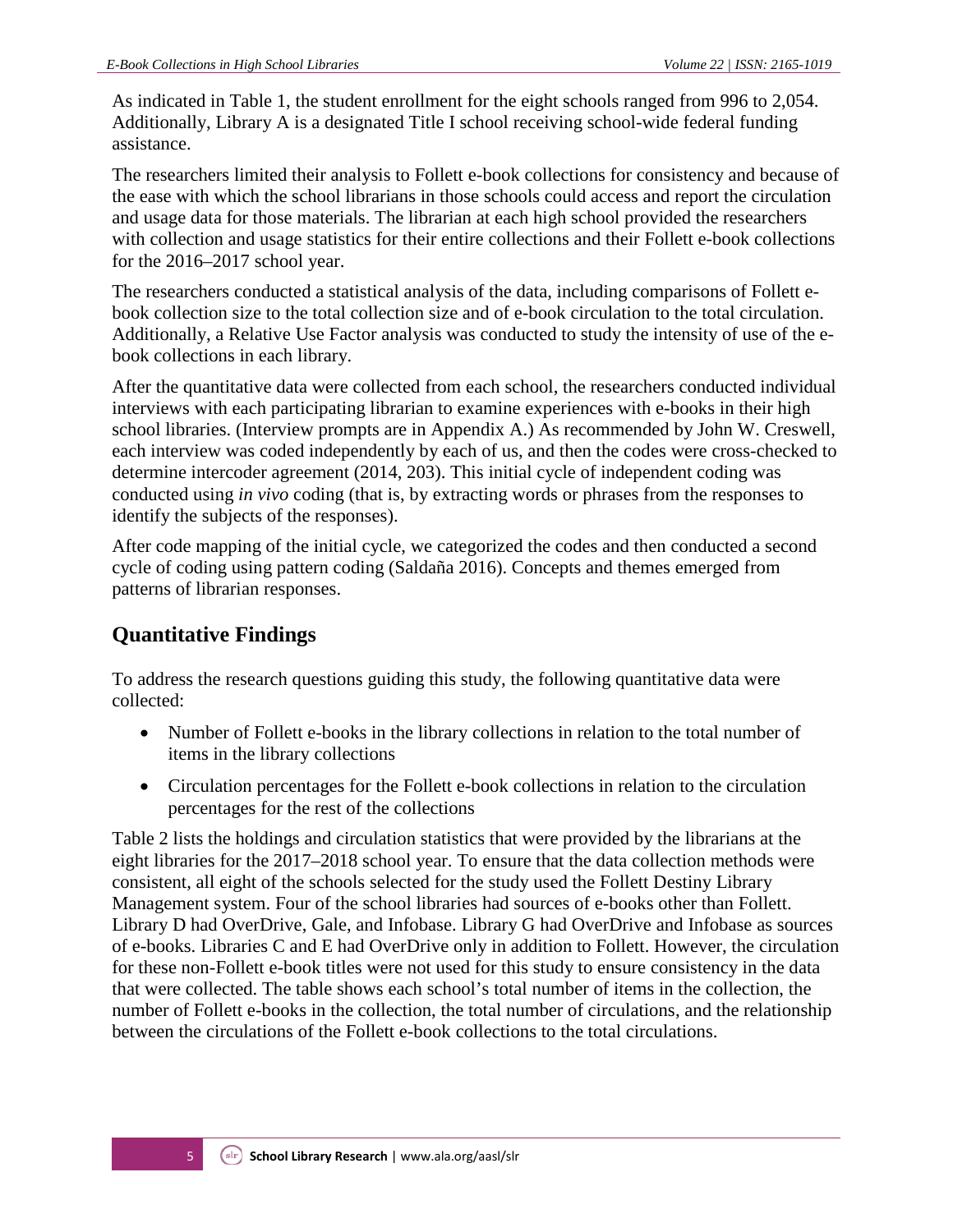As indicated in Table 1, the student enrollment for the eight schools ranged from 996 to 2,054. Additionally, Library A is a designated Title I school receiving school-wide federal funding assistance.

The researchers limited their analysis to Follett e-book collections for consistency and because of the ease with which the school librarians in those schools could access and report the circulation and usage data for those materials. The librarian at each high school provided the researchers with collection and usage statistics for their entire collections and their Follett e-book collections for the 2016–2017 school year.

The researchers conducted a statistical analysis of the data, including comparisons of Follett ebook collection size to the total collection size and of e-book circulation to the total circulation. Additionally, a Relative Use Factor analysis was conducted to study the intensity of use of the ebook collections in each library.

After the quantitative data were collected from each school, the researchers conducted individual interviews with each participating librarian to examine experiences with e-books in their high school libraries. (Interview prompts are in Appendix A.) As recommended by John W. Creswell, each interview was coded independently by each of us, and then the codes were cross-checked to determine intercoder agreement (2014, 203). This initial cycle of independent coding was conducted using *in vivo* coding (that is, by extracting words or phrases from the responses to identify the subjects of the responses).

After code mapping of the initial cycle, we categorized the codes and then conducted a second cycle of coding using pattern coding (Saldaña 2016). Concepts and themes emerged from patterns of librarian responses.

## **Quantitative Findings**

To address the research questions guiding this study, the following quantitative data were collected:

- Number of Follett e-books in the library collections in relation to the total number of items in the library collections
- Circulation percentages for the Follett e-book collections in relation to the circulation percentages for the rest of the collections

Table 2 lists the holdings and circulation statistics that were provided by the librarians at the eight libraries for the 2017–2018 school year. To ensure that the data collection methods were consistent, all eight of the schools selected for the study used the Follett Destiny Library Management system. Four of the school libraries had sources of e-books other than Follett. Library D had OverDrive, Gale, and Infobase. Library G had OverDrive and Infobase as sources of e-books. Libraries C and E had OverDrive only in addition to Follett. However, the circulation for these non-Follett e-book titles were not used for this study to ensure consistency in the data that were collected. The table shows each school's total number of items in the collection, the number of Follett e-books in the collection, the total number of circulations, and the relationship between the circulations of the Follett e-book collections to the total circulations.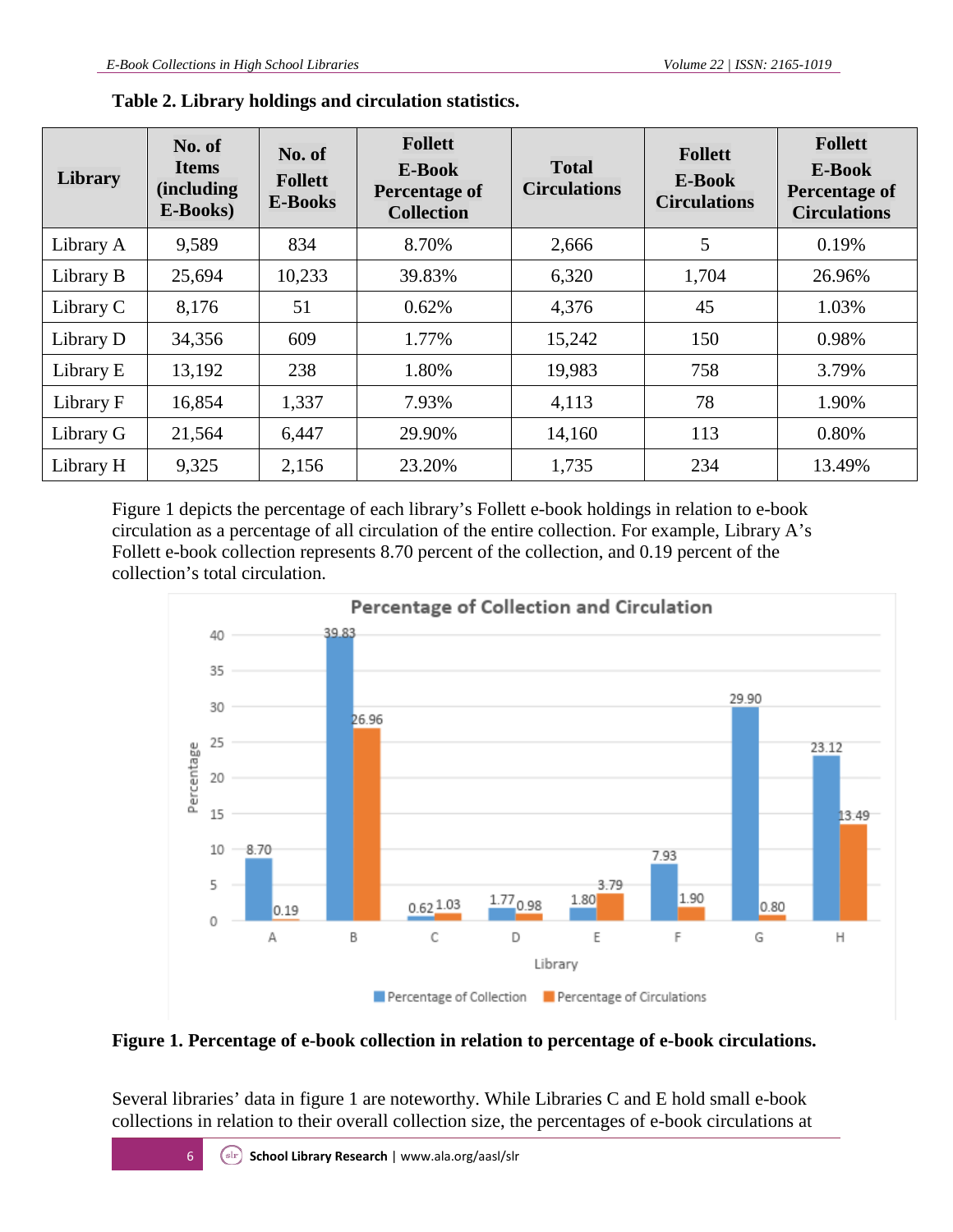| Library   | No. of<br><b>Items</b><br><i>(including)</i><br>E-Books) | No. of<br><b>Follett</b><br><b>E-Books</b> | <b>Follett</b><br>E-Book<br><b>Percentage of</b><br><b>Collection</b> | <b>Total</b><br><b>Circulations</b> | <b>Follett</b><br>E-Book<br><b>Circulations</b> | <b>Follett</b><br>E-Book<br>Percentage of<br><b>Circulations</b> |
|-----------|----------------------------------------------------------|--------------------------------------------|-----------------------------------------------------------------------|-------------------------------------|-------------------------------------------------|------------------------------------------------------------------|
| Library A | 9,589                                                    | 834                                        | 8.70%                                                                 | 2,666                               | 5                                               | 0.19%                                                            |
| Library B | 25,694                                                   | 10,233                                     | 39.83%                                                                | 6,320                               | 1,704                                           | 26.96%                                                           |
| Library C | 8,176                                                    | 51                                         | 0.62%                                                                 | 4,376                               | 45                                              | 1.03%                                                            |
| Library D | 34,356                                                   | 609                                        | 1.77%                                                                 | 15,242                              | 150                                             | 0.98%                                                            |
| Library E | 13,192                                                   | 238                                        | 1.80%                                                                 | 19,983                              | 758                                             | 3.79%                                                            |
| Library F | 16,854                                                   | 1,337                                      | 7.93%                                                                 | 4,113                               | 78                                              | 1.90%                                                            |
| Library G | 21,564                                                   | 6,447                                      | 29.90%                                                                | 14,160                              | 113                                             | 0.80%                                                            |
| Library H | 9,325                                                    | 2,156                                      | 23.20%                                                                | 1,735                               | 234                                             | 13.49%                                                           |

**Table 2. Library holdings and circulation statistics.**

Figure 1 depicts the percentage of each library's Follett e-book holdings in relation to e-book circulation as a percentage of all circulation of the entire collection. For example, Library A's Follett e-book collection represents 8.70 percent of the collection, and 0.19 percent of the collection's total circulation.



#### **Figure 1. Percentage of e-book collection in relation to percentage of e-book circulations.**

Several libraries' data in figure 1 are noteworthy. While Libraries C and E hold small e-book collections in relation to their overall collection size, the percentages of e-book circulations at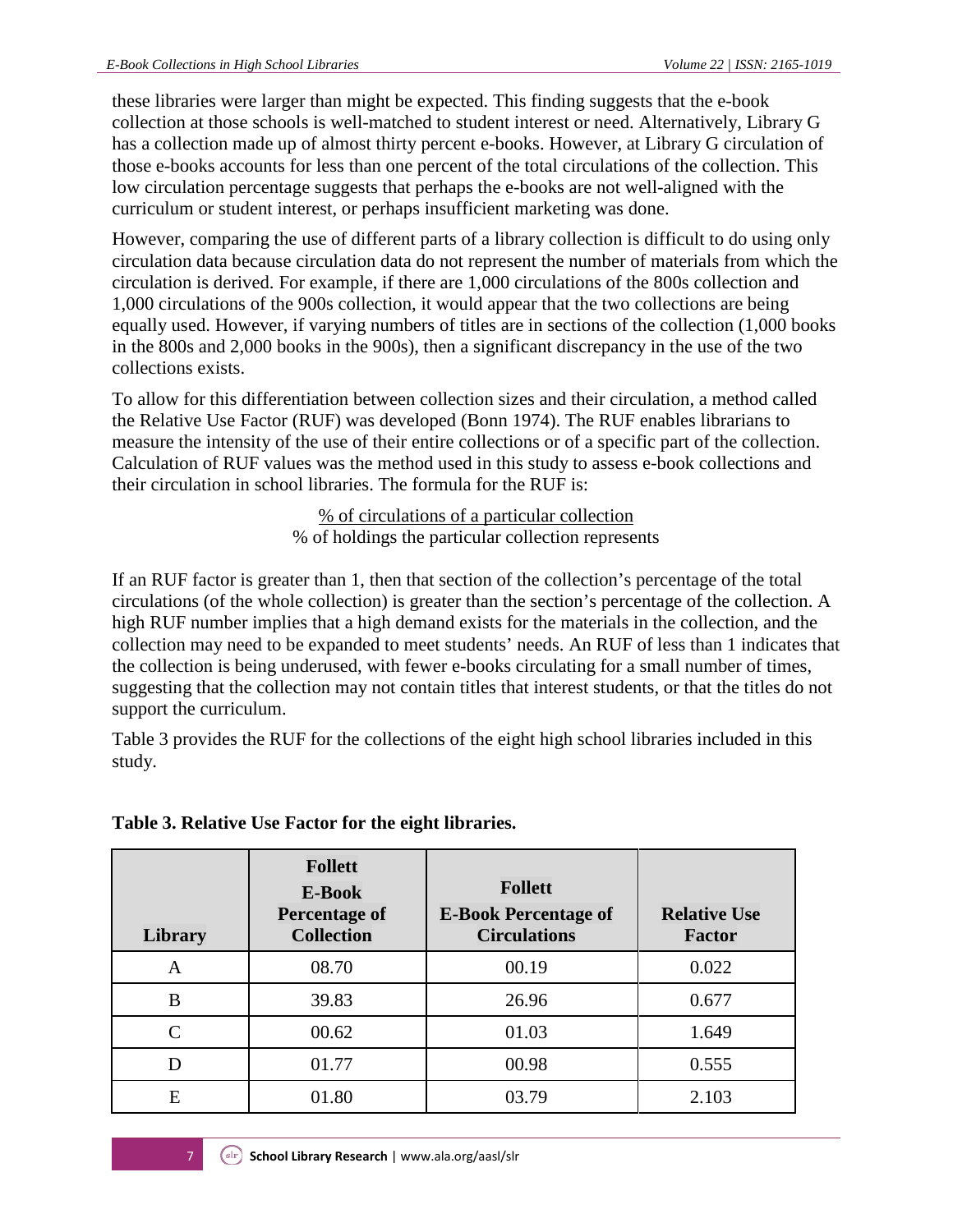these libraries were larger than might be expected. This finding suggests that the e-book collection at those schools is well-matched to student interest or need. Alternatively, Library G has a collection made up of almost thirty percent e-books. However, at Library G circulation of those e-books accounts for less than one percent of the total circulations of the collection. This low circulation percentage suggests that perhaps the e-books are not well-aligned with the curriculum or student interest, or perhaps insufficient marketing was done.

However, comparing the use of different parts of a library collection is difficult to do using only circulation data because circulation data do not represent the number of materials from which the circulation is derived. For example, if there are 1,000 circulations of the 800s collection and 1,000 circulations of the 900s collection, it would appear that the two collections are being equally used. However, if varying numbers of titles are in sections of the collection (1,000 books in the 800s and 2,000 books in the 900s), then a significant discrepancy in the use of the two collections exists.

To allow for this differentiation between collection sizes and their circulation, a method called the Relative Use Factor (RUF) was developed (Bonn 1974). The RUF enables librarians to measure the intensity of the use of their entire collections or of a specific part of the collection. Calculation of RUF values was the method used in this study to assess e-book collections and their circulation in school libraries. The formula for the RUF is:

> % of circulations of a particular collection % of holdings the particular collection represents

If an RUF factor is greater than 1, then that section of the collection's percentage of the total circulations (of the whole collection) is greater than the section's percentage of the collection. A high RUF number implies that a high demand exists for the materials in the collection, and the collection may need to be expanded to meet students' needs. An RUF of less than 1 indicates that the collection is being underused, with fewer e-books circulating for a small number of times, suggesting that the collection may not contain titles that interest students, or that the titles do not support the curriculum.

Table 3 provides the RUF for the collections of the eight high school libraries included in this study.

| <b>Library</b> | <b>Follett</b><br><b>E-Book</b><br><b>Percentage of</b><br><b>Collection</b> | <b>Follett</b><br><b>E-Book Percentage of</b><br><b>Circulations</b> | <b>Relative Use</b><br><b>Factor</b> |
|----------------|------------------------------------------------------------------------------|----------------------------------------------------------------------|--------------------------------------|
| A              | 08.70                                                                        | 00.19                                                                | 0.022                                |
| B              | 39.83                                                                        | 26.96                                                                | 0.677                                |
| C              | 00.62                                                                        | 01.03                                                                | 1.649                                |
| D              | 01.77                                                                        | 00.98                                                                | 0.555                                |
| E              | 01.80                                                                        | 03.79                                                                | 2.103                                |

### **Table 3. Relative Use Factor for the eight libraries.**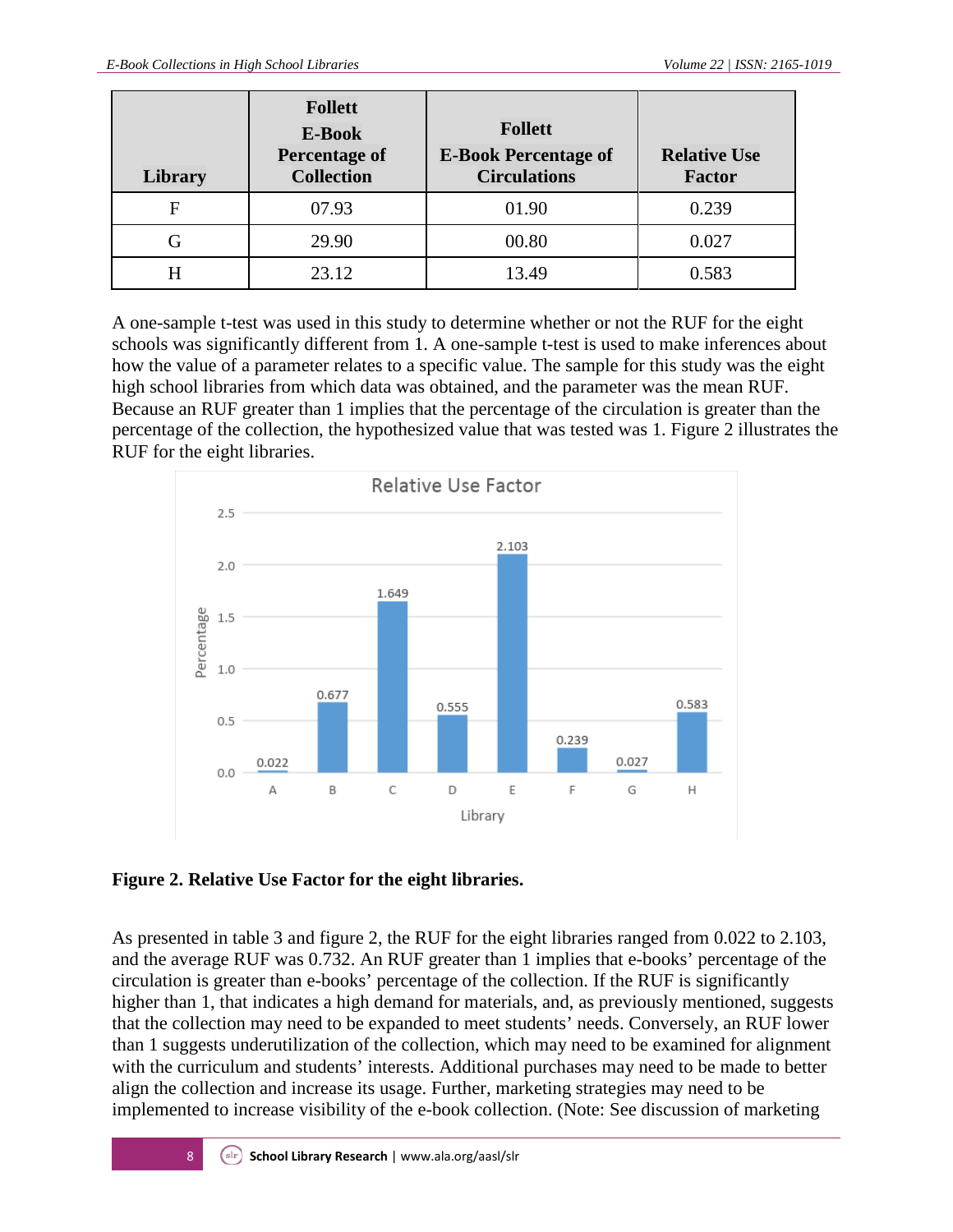| Library | <b>Follett</b><br>E-Book<br><b>Percentage of</b><br><b>Collection</b> | <b>Follett</b><br><b>E-Book Percentage of</b><br><b>Circulations</b> | <b>Relative Use</b><br><b>Factor</b> |
|---------|-----------------------------------------------------------------------|----------------------------------------------------------------------|--------------------------------------|
| F       | 07.93                                                                 | 01.90                                                                | 0.239                                |
| G       | 29.90                                                                 | 00.80                                                                | 0.027                                |
| H       | 23.12                                                                 | 13.49                                                                | 0.583                                |

A one-sample t-test was used in this study to determine whether or not the RUF for the eight schools was significantly different from 1. A one-sample t-test is used to make inferences about how the value of a parameter relates to a specific value. The sample for this study was the eight high school libraries from which data was obtained, and the parameter was the mean RUF. Because an RUF greater than 1 implies that the percentage of the circulation is greater than the percentage of the collection, the hypothesized value that was tested was 1. Figure 2 illustrates the RUF for the eight libraries.



### **Figure 2. Relative Use Factor for the eight libraries.**

As presented in table 3 and figure 2, the RUF for the eight libraries ranged from 0.022 to 2.103, and the average RUF was 0.732. An RUF greater than 1 implies that e-books' percentage of the circulation is greater than e-books' percentage of the collection. If the RUF is significantly higher than 1, that indicates a high demand for materials, and, as previously mentioned, suggests that the collection may need to be expanded to meet students' needs. Conversely, an RUF lower than 1 suggests underutilization of the collection, which may need to be examined for alignment with the curriculum and students' interests. Additional purchases may need to be made to better align the collection and increase its usage. Further, marketing strategies may need to be implemented to increase visibility of the e-book collection. (Note: See discussion of marketing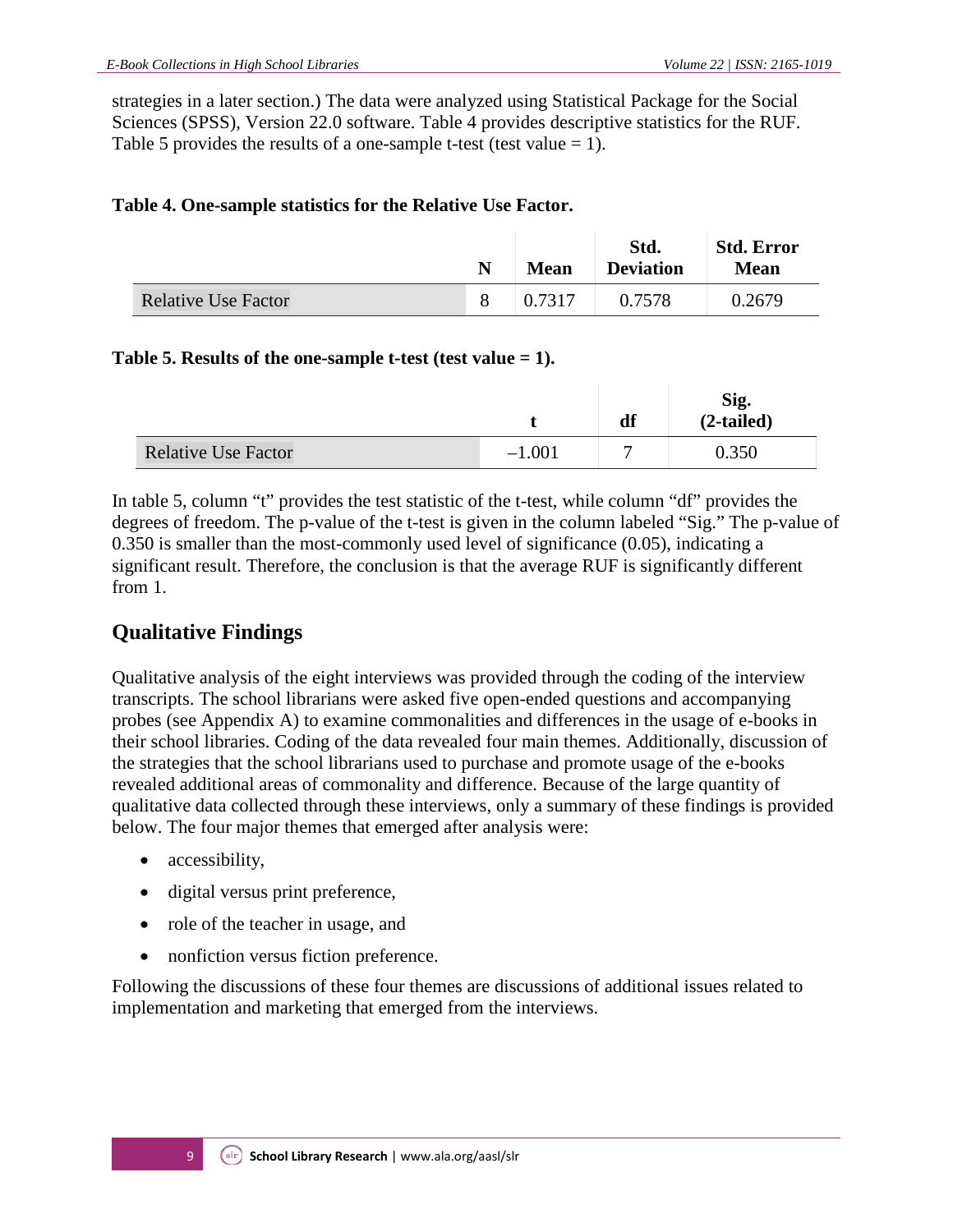strategies in a later section.) The data were analyzed using Statistical Package for the Social Sciences (SPSS), Version 22.0 software. Table 4 provides descriptive statistics for the RUF. Table 5 provides the results of a one-sample t-test (test value  $= 1$ ).

#### **Table 4. One-sample statistics for the Relative Use Factor.**

|                            | N | <b>Mean</b> | Std.<br><b>Deviation</b> | <b>Std. Error</b><br><b>Mean</b> |
|----------------------------|---|-------------|--------------------------|----------------------------------|
| <b>Relative Use Factor</b> |   | 0.7317      | 0.7578                   | 0.2679                           |

### **Table 5. Results of the one-sample t-test (test value = 1).**

|                            |          | df | Sig.<br>$(2-tailed)$ |
|----------------------------|----------|----|----------------------|
| <b>Relative Use Factor</b> | $-1.001$ |    | 0.350                |

In table 5, column "t" provides the test statistic of the t-test, while column "df" provides the degrees of freedom. The p-value of the t-test is given in the column labeled "Sig." The p-value of 0.350 is smaller than the most-commonly used level of significance (0.05), indicating a significant result. Therefore, the conclusion is that the average RUF is significantly different from 1.

## **Qualitative Findings**

Qualitative analysis of the eight interviews was provided through the coding of the interview transcripts. The school librarians were asked five open-ended questions and accompanying probes (see Appendix A) to examine commonalities and differences in the usage of e-books in their school libraries. Coding of the data revealed four main themes. Additionally, discussion of the strategies that the school librarians used to purchase and promote usage of the e-books revealed additional areas of commonality and difference. Because of the large quantity of qualitative data collected through these interviews, only a summary of these findings is provided below. The four major themes that emerged after analysis were:

- accessibility,
- digital versus print preference,
- role of the teacher in usage, and
- nonfiction versus fiction preference.

Following the discussions of these four themes are discussions of additional issues related to implementation and marketing that emerged from the interviews.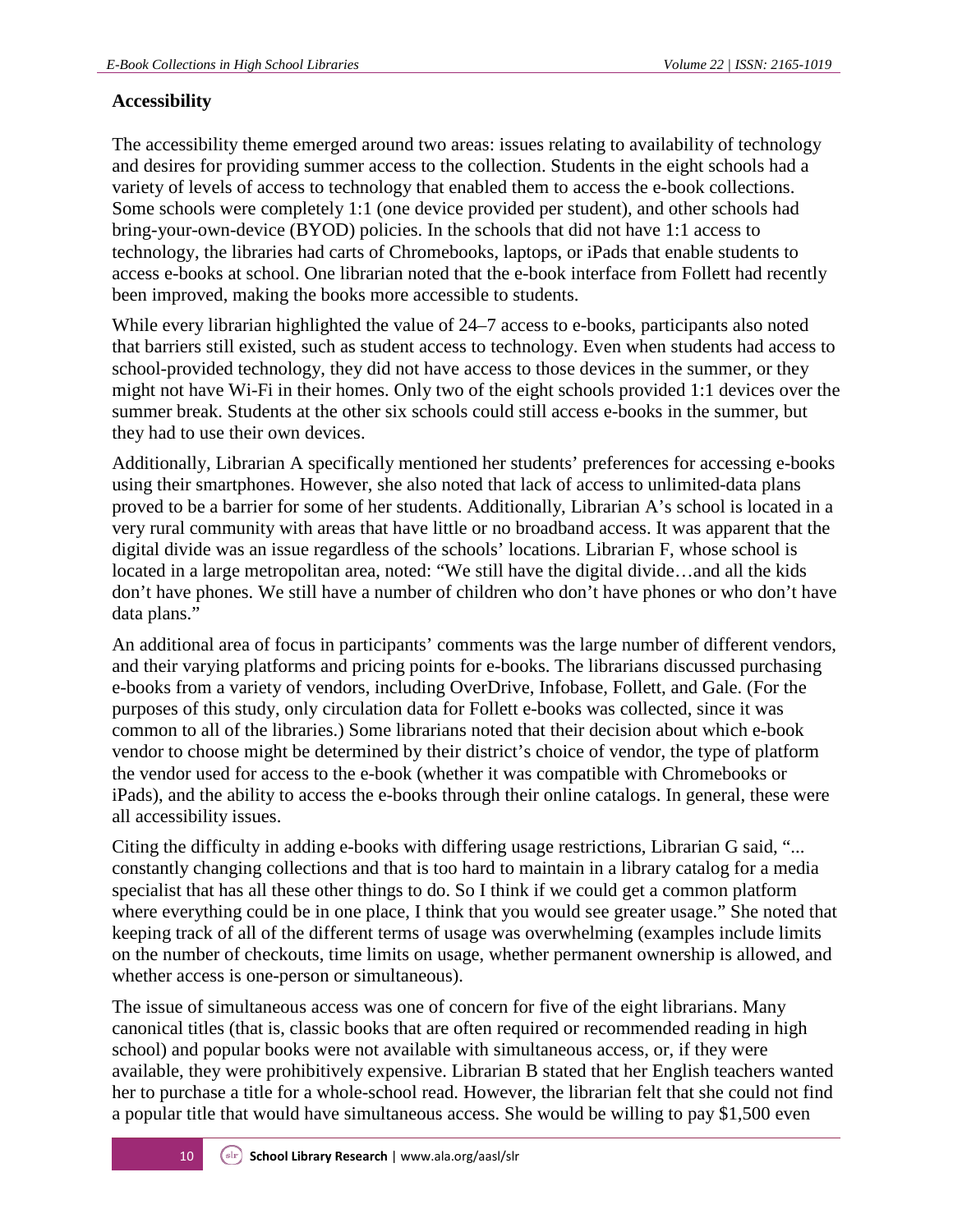### **Accessibility**

The accessibility theme emerged around two areas: issues relating to availability of technology and desires for providing summer access to the collection. Students in the eight schools had a variety of levels of access to technology that enabled them to access the e-book collections. Some schools were completely 1:1 (one device provided per student), and other schools had bring-your-own-device (BYOD) policies. In the schools that did not have 1:1 access to technology, the libraries had carts of Chromebooks, laptops, or iPads that enable students to access e-books at school. One librarian noted that the e-book interface from Follett had recently been improved, making the books more accessible to students.

While every librarian highlighted the value of 24–7 access to e-books, participants also noted that barriers still existed, such as student access to technology. Even when students had access to school-provided technology, they did not have access to those devices in the summer, or they might not have Wi-Fi in their homes. Only two of the eight schools provided 1:1 devices over the summer break. Students at the other six schools could still access e-books in the summer, but they had to use their own devices.

Additionally, Librarian A specifically mentioned her students' preferences for accessing e-books using their smartphones. However, she also noted that lack of access to unlimited-data plans proved to be a barrier for some of her students. Additionally, Librarian A's school is located in a very rural community with areas that have little or no broadband access. It was apparent that the digital divide was an issue regardless of the schools' locations. Librarian F, whose school is located in a large metropolitan area, noted: "We still have the digital divide…and all the kids don't have phones. We still have a number of children who don't have phones or who don't have data plans."

An additional area of focus in participants' comments was the large number of different vendors, and their varying platforms and pricing points for e-books. The librarians discussed purchasing e-books from a variety of vendors, including OverDrive, Infobase, Follett, and Gale. (For the purposes of this study, only circulation data for Follett e-books was collected, since it was common to all of the libraries.) Some librarians noted that their decision about which e-book vendor to choose might be determined by their district's choice of vendor, the type of platform the vendor used for access to the e-book (whether it was compatible with Chromebooks or iPads), and the ability to access the e-books through their online catalogs. In general, these were all accessibility issues.

Citing the difficulty in adding e-books with differing usage restrictions, Librarian G said, "... constantly changing collections and that is too hard to maintain in a library catalog for a media specialist that has all these other things to do. So I think if we could get a common platform where everything could be in one place, I think that you would see greater usage." She noted that keeping track of all of the different terms of usage was overwhelming (examples include limits on the number of checkouts, time limits on usage, whether permanent ownership is allowed, and whether access is one-person or simultaneous).

The issue of simultaneous access was one of concern for five of the eight librarians. Many canonical titles (that is, classic books that are often required or recommended reading in high school) and popular books were not available with simultaneous access, or, if they were available, they were prohibitively expensive. Librarian B stated that her English teachers wanted her to purchase a title for a whole-school read. However, the librarian felt that she could not find a popular title that would have simultaneous access. She would be willing to pay \$1,500 even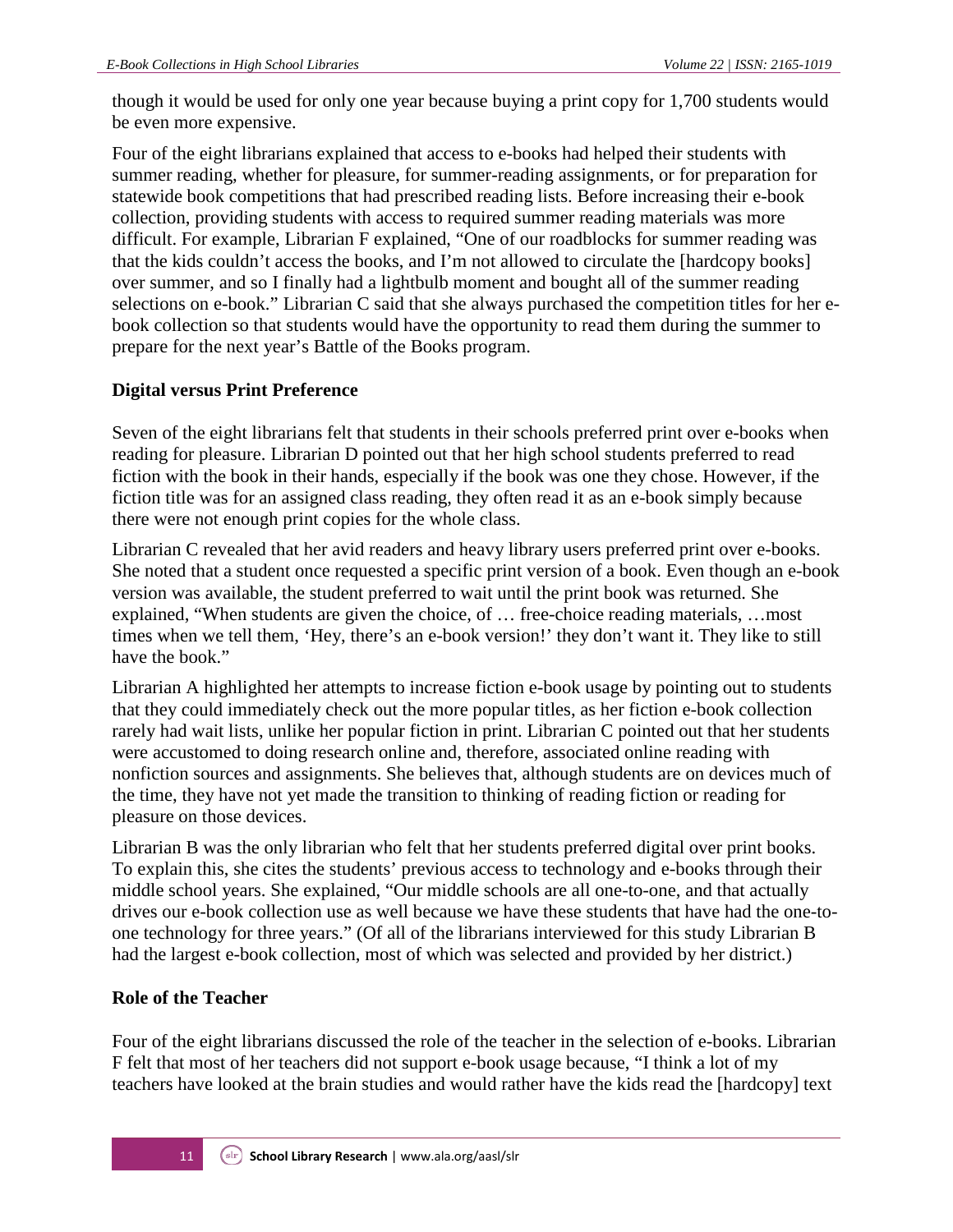though it would be used for only one year because buying a print copy for 1,700 students would be even more expensive.

Four of the eight librarians explained that access to e-books had helped their students with summer reading, whether for pleasure, for summer-reading assignments, or for preparation for statewide book competitions that had prescribed reading lists. Before increasing their e-book collection, providing students with access to required summer reading materials was more difficult. For example, Librarian F explained, "One of our roadblocks for summer reading was that the kids couldn't access the books, and I'm not allowed to circulate the [hardcopy books] over summer, and so I finally had a lightbulb moment and bought all of the summer reading selections on e-book." Librarian C said that she always purchased the competition titles for her ebook collection so that students would have the opportunity to read them during the summer to prepare for the next year's Battle of the Books program.

### **Digital versus Print Preference**

Seven of the eight librarians felt that students in their schools preferred print over e-books when reading for pleasure. Librarian D pointed out that her high school students preferred to read fiction with the book in their hands, especially if the book was one they chose. However, if the fiction title was for an assigned class reading, they often read it as an e-book simply because there were not enough print copies for the whole class.

Librarian C revealed that her avid readers and heavy library users preferred print over e-books. She noted that a student once requested a specific print version of a book. Even though an e-book version was available, the student preferred to wait until the print book was returned. She explained, "When students are given the choice, of … free-choice reading materials, …most times when we tell them, 'Hey, there's an e-book version!' they don't want it. They like to still have the book."

Librarian A highlighted her attempts to increase fiction e-book usage by pointing out to students that they could immediately check out the more popular titles, as her fiction e-book collection rarely had wait lists, unlike her popular fiction in print. Librarian C pointed out that her students were accustomed to doing research online and, therefore, associated online reading with nonfiction sources and assignments. She believes that, although students are on devices much of the time, they have not yet made the transition to thinking of reading fiction or reading for pleasure on those devices.

Librarian B was the only librarian who felt that her students preferred digital over print books. To explain this, she cites the students' previous access to technology and e-books through their middle school years. She explained, "Our middle schools are all one-to-one, and that actually drives our e-book collection use as well because we have these students that have had the one-toone technology for three years." (Of all of the librarians interviewed for this study Librarian B had the largest e-book collection, most of which was selected and provided by her district.)

#### **Role of the Teacher**

Four of the eight librarians discussed the role of the teacher in the selection of e-books. Librarian F felt that most of her teachers did not support e-book usage because, "I think a lot of my teachers have looked at the brain studies and would rather have the kids read the [hardcopy] text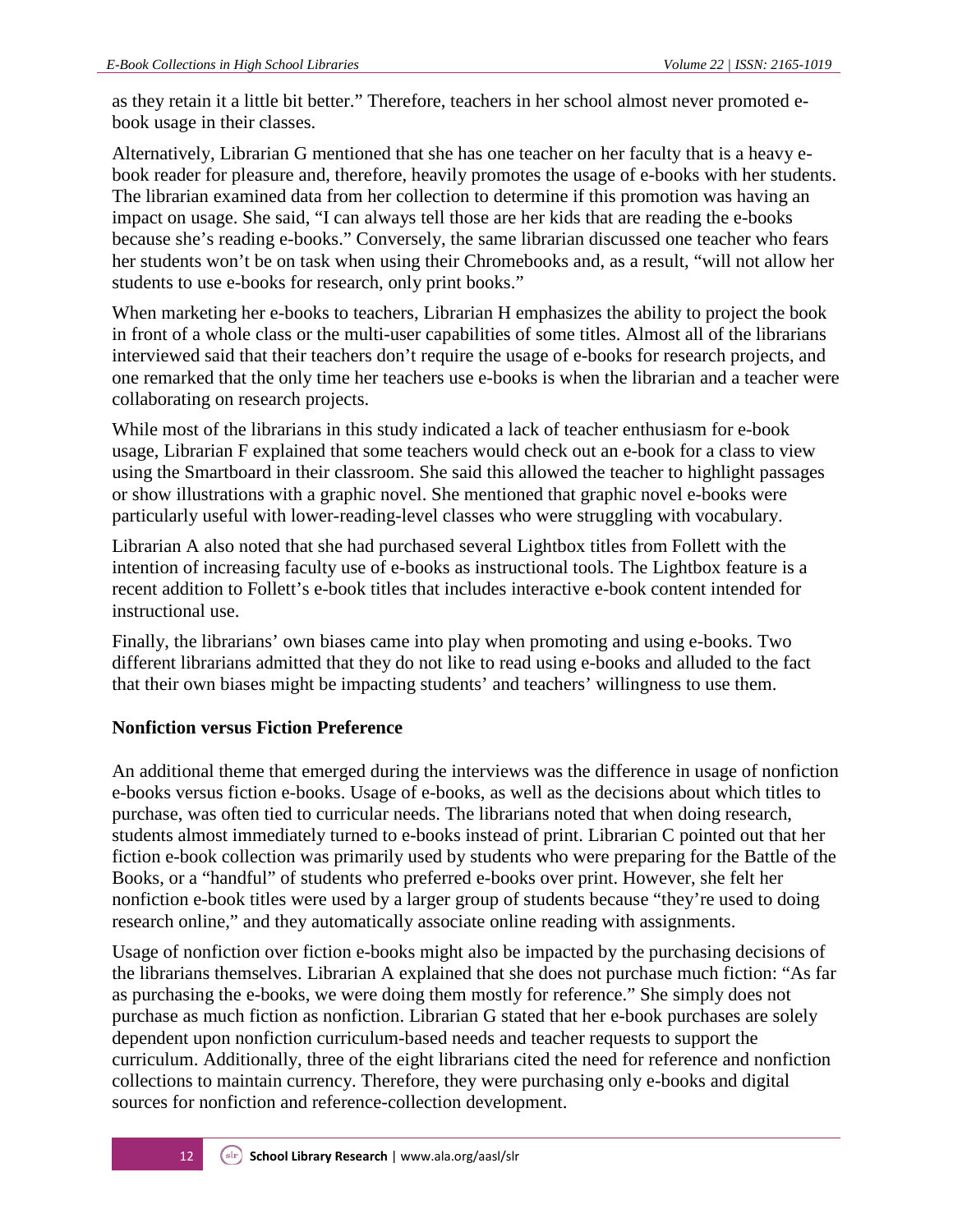as they retain it a little bit better." Therefore, teachers in her school almost never promoted ebook usage in their classes.

Alternatively, Librarian G mentioned that she has one teacher on her faculty that is a heavy ebook reader for pleasure and, therefore, heavily promotes the usage of e-books with her students. The librarian examined data from her collection to determine if this promotion was having an impact on usage. She said, "I can always tell those are her kids that are reading the e-books because she's reading e-books." Conversely, the same librarian discussed one teacher who fears her students won't be on task when using their Chromebooks and, as a result, "will not allow her students to use e-books for research, only print books."

When marketing her e-books to teachers, Librarian H emphasizes the ability to project the book in front of a whole class or the multi-user capabilities of some titles. Almost all of the librarians interviewed said that their teachers don't require the usage of e-books for research projects, and one remarked that the only time her teachers use e-books is when the librarian and a teacher were collaborating on research projects.

While most of the librarians in this study indicated a lack of teacher enthusiasm for e-book usage, Librarian F explained that some teachers would check out an e-book for a class to view using the Smartboard in their classroom. She said this allowed the teacher to highlight passages or show illustrations with a graphic novel. She mentioned that graphic novel e-books were particularly useful with lower-reading-level classes who were struggling with vocabulary.

Librarian A also noted that she had purchased several Lightbox titles from Follett with the intention of increasing faculty use of e-books as instructional tools. The Lightbox feature is a recent addition to Follett's e-book titles that includes interactive e-book content intended for instructional use.

Finally, the librarians' own biases came into play when promoting and using e-books. Two different librarians admitted that they do not like to read using e-books and alluded to the fact that their own biases might be impacting students' and teachers' willingness to use them.

### **Nonfiction versus Fiction Preference**

An additional theme that emerged during the interviews was the difference in usage of nonfiction e-books versus fiction e-books. Usage of e-books, as well as the decisions about which titles to purchase, was often tied to curricular needs. The librarians noted that when doing research, students almost immediately turned to e-books instead of print. Librarian C pointed out that her fiction e-book collection was primarily used by students who were preparing for the Battle of the Books, or a "handful" of students who preferred e-books over print. However, she felt her nonfiction e-book titles were used by a larger group of students because "they're used to doing research online," and they automatically associate online reading with assignments.

Usage of nonfiction over fiction e-books might also be impacted by the purchasing decisions of the librarians themselves. Librarian A explained that she does not purchase much fiction: "As far as purchasing the e-books, we were doing them mostly for reference." She simply does not purchase as much fiction as nonfiction. Librarian G stated that her e-book purchases are solely dependent upon nonfiction curriculum-based needs and teacher requests to support the curriculum. Additionally, three of the eight librarians cited the need for reference and nonfiction collections to maintain currency. Therefore, they were purchasing only e-books and digital sources for nonfiction and reference-collection development.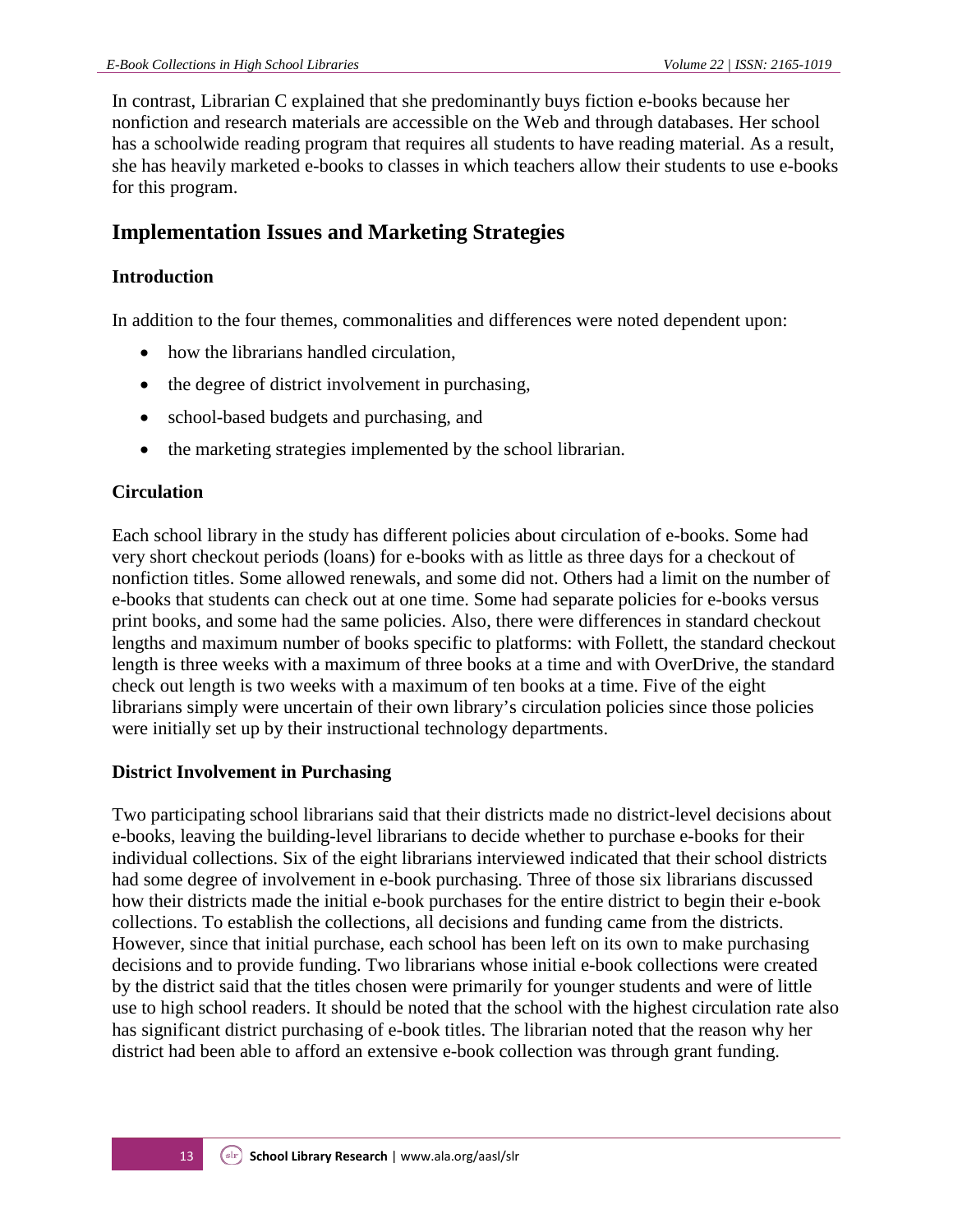In contrast, Librarian C explained that she predominantly buys fiction e-books because her nonfiction and research materials are accessible on the Web and through databases. Her school has a schoolwide reading program that requires all students to have reading material. As a result, she has heavily marketed e-books to classes in which teachers allow their students to use e-books for this program.

## **Implementation Issues and Marketing Strategies**

### **Introduction**

In addition to the four themes, commonalities and differences were noted dependent upon:

- how the librarians handled circulation,
- the degree of district involvement in purchasing,
- school-based budgets and purchasing, and
- the marketing strategies implemented by the school librarian.

### **Circulation**

Each school library in the study has different policies about circulation of e-books. Some had very short checkout periods (loans) for e-books with as little as three days for a checkout of nonfiction titles. Some allowed renewals, and some did not. Others had a limit on the number of e-books that students can check out at one time. Some had separate policies for e-books versus print books, and some had the same policies. Also, there were differences in standard checkout lengths and maximum number of books specific to platforms: with Follett, the standard checkout length is three weeks with a maximum of three books at a time and with OverDrive, the standard check out length is two weeks with a maximum of ten books at a time. Five of the eight librarians simply were uncertain of their own library's circulation policies since those policies were initially set up by their instructional technology departments.

#### **District Involvement in Purchasing**

Two participating school librarians said that their districts made no district-level decisions about e-books, leaving the building-level librarians to decide whether to purchase e-books for their individual collections. Six of the eight librarians interviewed indicated that their school districts had some degree of involvement in e-book purchasing. Three of those six librarians discussed how their districts made the initial e-book purchases for the entire district to begin their e-book collections. To establish the collections, all decisions and funding came from the districts. However, since that initial purchase, each school has been left on its own to make purchasing decisions and to provide funding. Two librarians whose initial e-book collections were created by the district said that the titles chosen were primarily for younger students and were of little use to high school readers. It should be noted that the school with the highest circulation rate also has significant district purchasing of e-book titles. The librarian noted that the reason why her district had been able to afford an extensive e-book collection was through grant funding.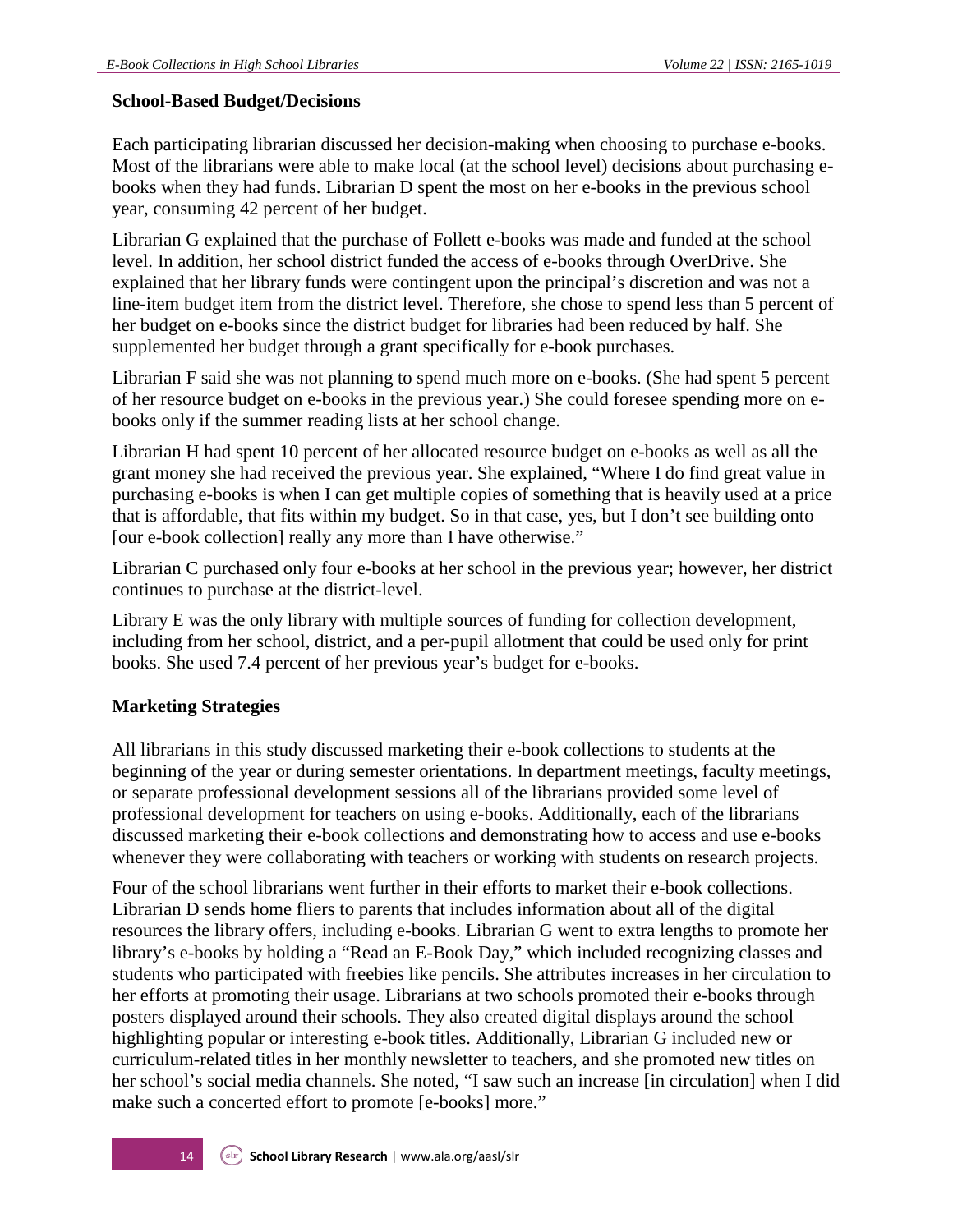#### **School-Based Budget/Decisions**

Each participating librarian discussed her decision-making when choosing to purchase e-books. Most of the librarians were able to make local (at the school level) decisions about purchasing ebooks when they had funds. Librarian D spent the most on her e-books in the previous school year, consuming 42 percent of her budget.

Librarian G explained that the purchase of Follett e-books was made and funded at the school level. In addition, her school district funded the access of e-books through OverDrive. She explained that her library funds were contingent upon the principal's discretion and was not a line-item budget item from the district level. Therefore, she chose to spend less than 5 percent of her budget on e-books since the district budget for libraries had been reduced by half. She supplemented her budget through a grant specifically for e-book purchases.

Librarian F said she was not planning to spend much more on e-books. (She had spent 5 percent of her resource budget on e-books in the previous year.) She could foresee spending more on ebooks only if the summer reading lists at her school change.

Librarian H had spent 10 percent of her allocated resource budget on e-books as well as all the grant money she had received the previous year. She explained, "Where I do find great value in purchasing e-books is when I can get multiple copies of something that is heavily used at a price that is affordable, that fits within my budget. So in that case, yes, but I don't see building onto [our e-book collection] really any more than I have otherwise."

Librarian C purchased only four e-books at her school in the previous year; however, her district continues to purchase at the district-level.

Library E was the only library with multiple sources of funding for collection development, including from her school, district, and a per-pupil allotment that could be used only for print books. She used 7.4 percent of her previous year's budget for e-books.

#### **Marketing Strategies**

All librarians in this study discussed marketing their e-book collections to students at the beginning of the year or during semester orientations. In department meetings, faculty meetings, or separate professional development sessions all of the librarians provided some level of professional development for teachers on using e-books. Additionally, each of the librarians discussed marketing their e-book collections and demonstrating how to access and use e-books whenever they were collaborating with teachers or working with students on research projects.

Four of the school librarians went further in their efforts to market their e-book collections. Librarian D sends home fliers to parents that includes information about all of the digital resources the library offers, including e-books. Librarian G went to extra lengths to promote her library's e-books by holding a "Read an E-Book Day," which included recognizing classes and students who participated with freebies like pencils. She attributes increases in her circulation to her efforts at promoting their usage. Librarians at two schools promoted their e-books through posters displayed around their schools. They also created digital displays around the school highlighting popular or interesting e-book titles. Additionally, Librarian G included new or curriculum-related titles in her monthly newsletter to teachers, and she promoted new titles on her school's social media channels. She noted, "I saw such an increase [in circulation] when I did make such a concerted effort to promote [e-books] more."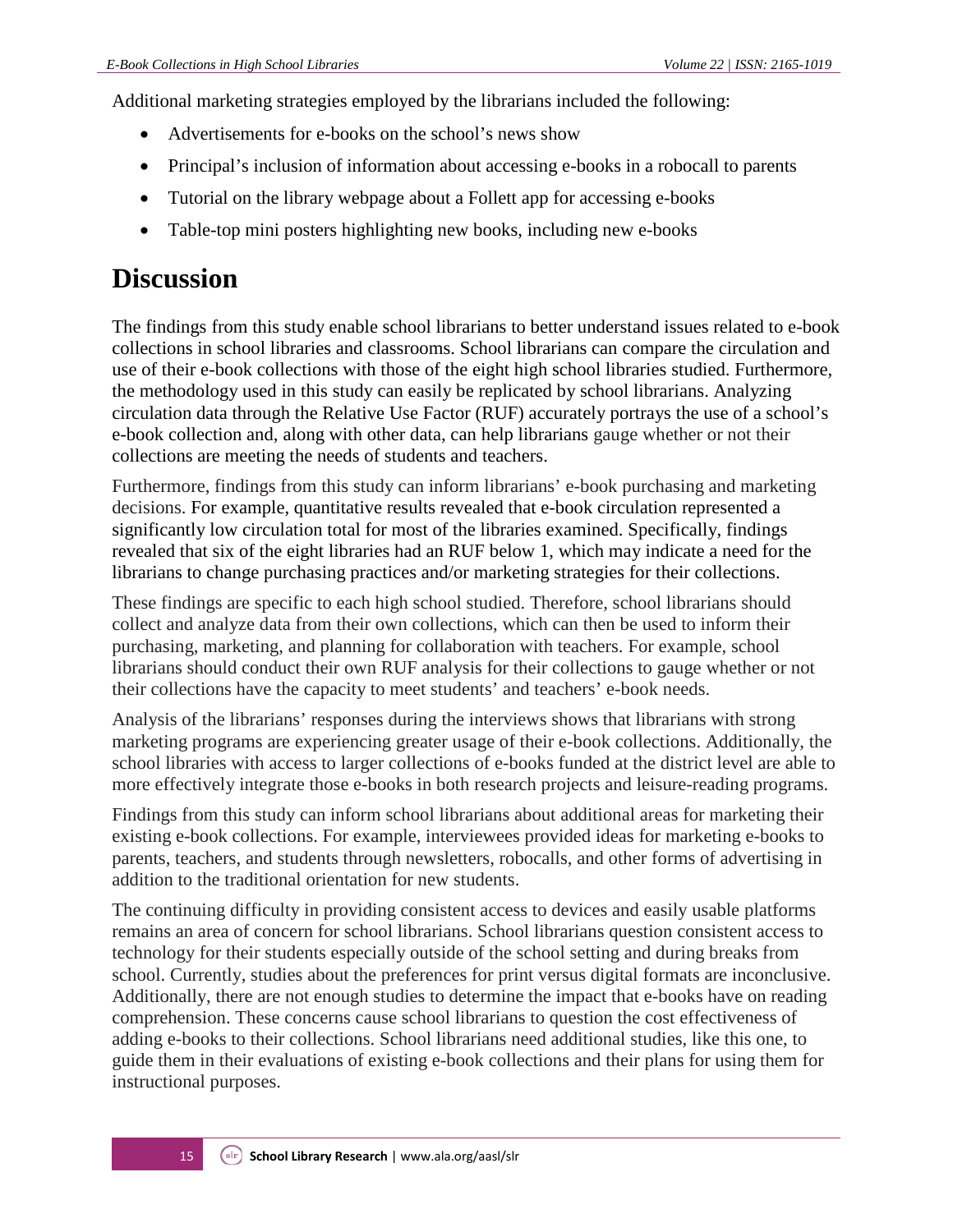Additional marketing strategies employed by the librarians included the following:

- Advertisements for e-books on the school's news show
- Principal's inclusion of information about accessing e-books in a robocall to parents
- Tutorial on the library webpage about a Follett app for accessing e-books
- Table-top mini posters highlighting new books, including new e-books

## **Discussion**

The findings from this study enable school librarians to better understand issues related to e-book collections in school libraries and classrooms. School librarians can compare the circulation and use of their e-book collections with those of the eight high school libraries studied. Furthermore, the methodology used in this study can easily be replicated by school librarians. Analyzing circulation data through the Relative Use Factor (RUF) accurately portrays the use of a school's e-book collection and, along with other data, can help librarians gauge whether or not their collections are meeting the needs of students and teachers.

Furthermore, findings from this study can inform librarians' e-book purchasing and marketing decisions. For example, quantitative results revealed that e-book circulation represented a significantly low circulation total for most of the libraries examined. Specifically, findings revealed that six of the eight libraries had an RUF below 1, which may indicate a need for the librarians to change purchasing practices and/or marketing strategies for their collections.

These findings are specific to each high school studied. Therefore, school librarians should collect and analyze data from their own collections, which can then be used to inform their purchasing, marketing, and planning for collaboration with teachers. For example, school librarians should conduct their own RUF analysis for their collections to gauge whether or not their collections have the capacity to meet students' and teachers' e-book needs.

Analysis of the librarians' responses during the interviews shows that librarians with strong marketing programs are experiencing greater usage of their e-book collections. Additionally, the school libraries with access to larger collections of e-books funded at the district level are able to more effectively integrate those e-books in both research projects and leisure-reading programs.

Findings from this study can inform school librarians about additional areas for marketing their existing e-book collections. For example, interviewees provided ideas for marketing e-books to parents, teachers, and students through newsletters, robocalls, and other forms of advertising in addition to the traditional orientation for new students.

The continuing difficulty in providing consistent access to devices and easily usable platforms remains an area of concern for school librarians. School librarians question consistent access to technology for their students especially outside of the school setting and during breaks from school. Currently, studies about the preferences for print versus digital formats are inconclusive. Additionally, there are not enough studies to determine the impact that e-books have on reading comprehension. These concerns cause school librarians to question the cost effectiveness of adding e-books to their collections. School librarians need additional studies, like this one, to guide them in their evaluations of existing e-book collections and their plans for using them for instructional purposes.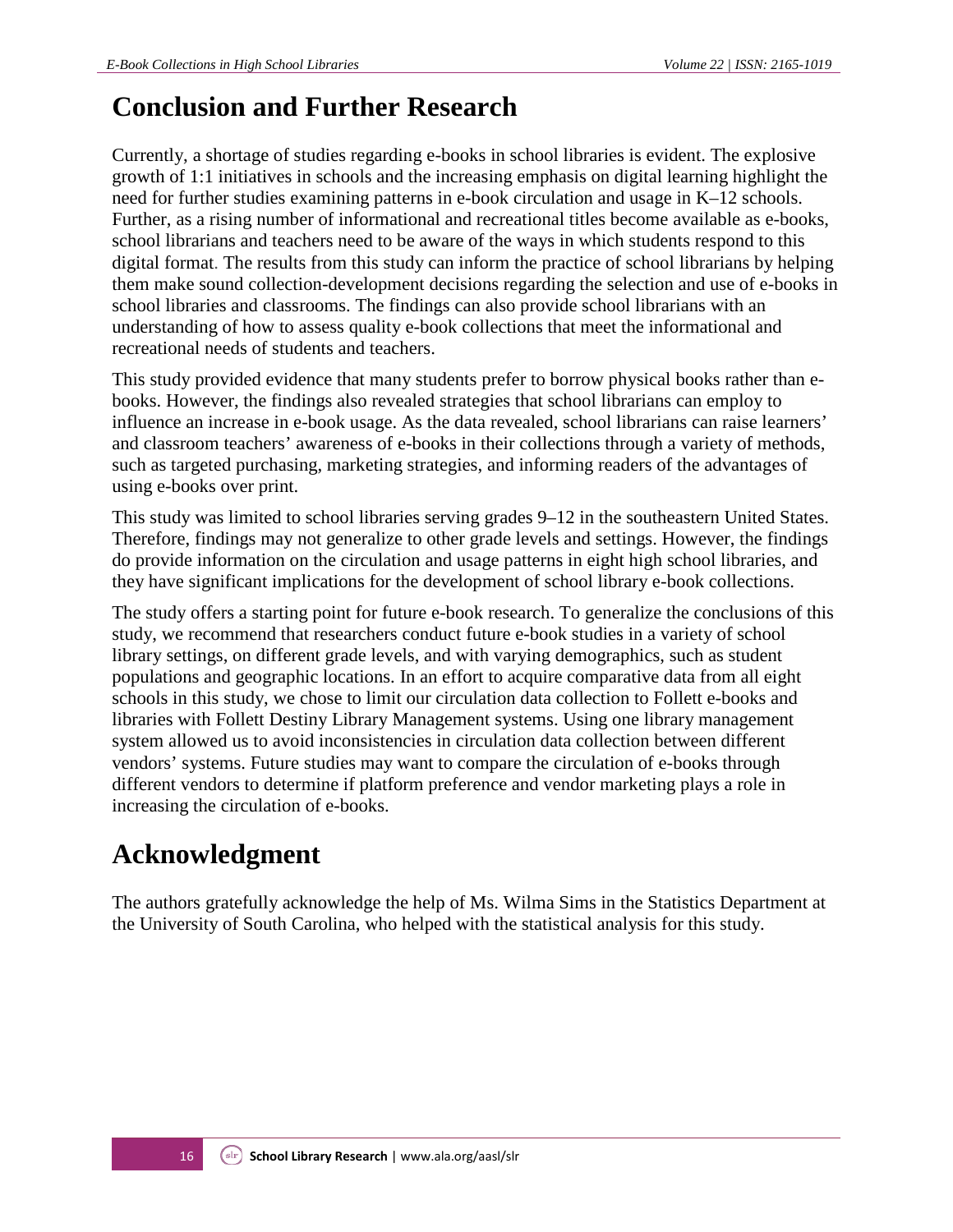## **Conclusion and Further Research**

Currently, a shortage of studies regarding e-books in school libraries is evident. The explosive growth of 1:1 initiatives in schools and the increasing emphasis on digital learning highlight the need for further studies examining patterns in e-book circulation and usage in K–12 schools. Further, as a rising number of informational and recreational titles become available as e-books, school librarians and teachers need to be aware of the ways in which students respond to this digital format. The results from this study can inform the practice of school librarians by helping them make sound collection-development decisions regarding the selection and use of e-books in school libraries and classrooms. The findings can also provide school librarians with an understanding of how to assess quality e-book collections that meet the informational and recreational needs of students and teachers.

This study provided evidence that many students prefer to borrow physical books rather than ebooks. However, the findings also revealed strategies that school librarians can employ to influence an increase in e-book usage. As the data revealed, school librarians can raise learners' and classroom teachers' awareness of e-books in their collections through a variety of methods, such as targeted purchasing, marketing strategies, and informing readers of the advantages of using e-books over print.

This study was limited to school libraries serving grades 9–12 in the southeastern United States. Therefore, findings may not generalize to other grade levels and settings. However, the findings do provide information on the circulation and usage patterns in eight high school libraries, and they have significant implications for the development of school library e-book collections.

The study offers a starting point for future e-book research. To generalize the conclusions of this study, we recommend that researchers conduct future e-book studies in a variety of school library settings, on different grade levels, and with varying demographics, such as student populations and geographic locations. In an effort to acquire comparative data from all eight schools in this study, we chose to limit our circulation data collection to Follett e-books and libraries with Follett Destiny Library Management systems. Using one library management system allowed us to avoid inconsistencies in circulation data collection between different vendors' systems. Future studies may want to compare the circulation of e-books through different vendors to determine if platform preference and vendor marketing plays a role in increasing the circulation of e-books.

## **Acknowledgment**

The authors gratefully acknowledge the help of Ms. Wilma Sims in the Statistics Department at the University of South Carolina, who helped with the statistical analysis for this study.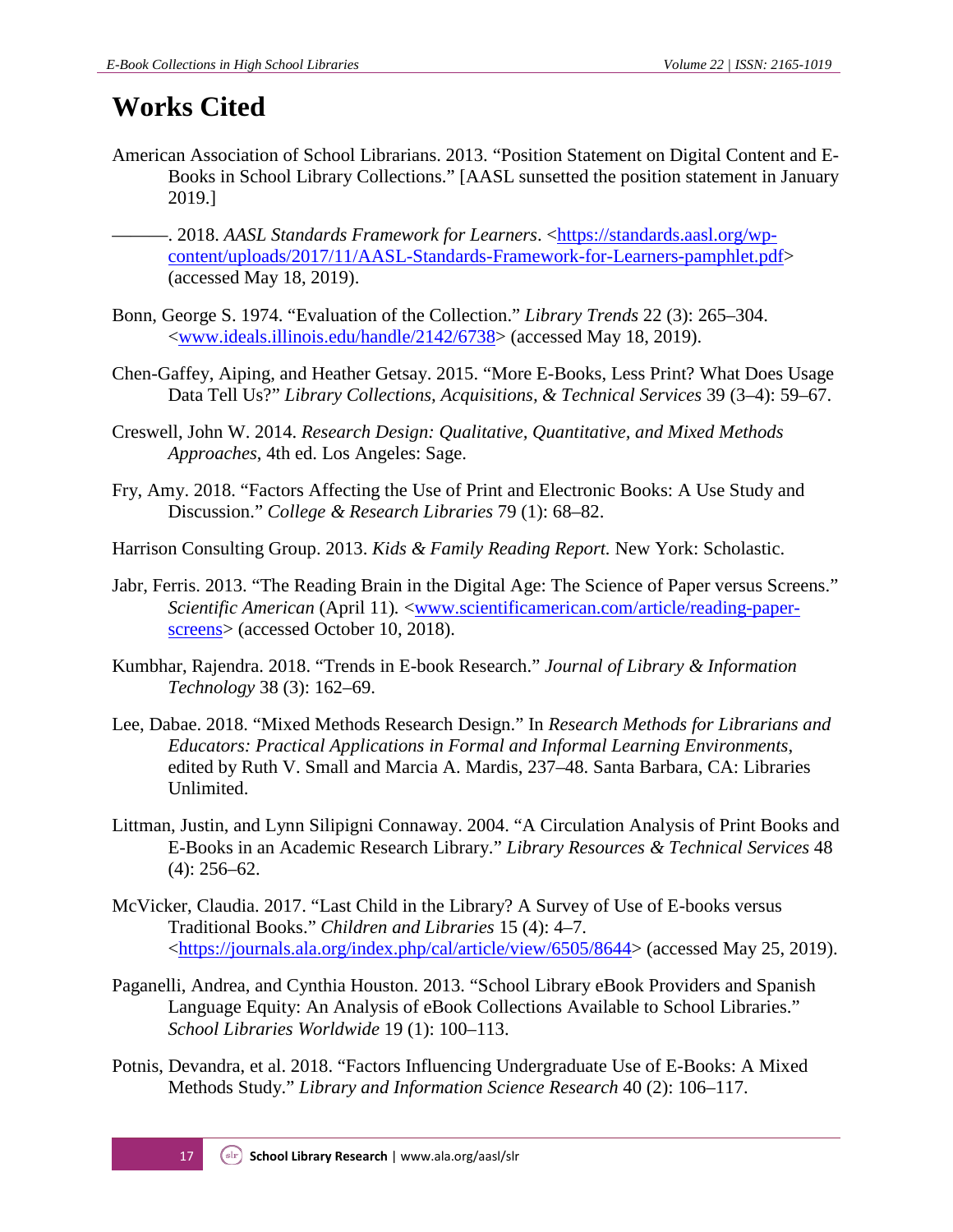## **Works Cited**

- American Association of School Librarians. 2013. "Position Statement on Digital Content and E-Books in School Library Collections." [AASL sunsetted the position statement in January 2019.]
	- -. 2018. AASL Standards Framework for Learners. [<https://standards.aasl.org/wp](https://standards.aasl.org/wp-content/uploads/2017/11/AASL-Standards-Framework-for-Learners-pamphlet.pdf)[content/uploads/2017/11/AASL-Standards-Framework-for-Learners-pamphlet.pdf>](https://standards.aasl.org/wp-content/uploads/2017/11/AASL-Standards-Framework-for-Learners-pamphlet.pdf) (accessed May 18, 2019).
- Bonn, George S. 1974. "Evaluation of the Collection." *Library Trends* 22 (3): 265–304. [<www.ideals.illinois.edu/handle/2142/6738>](https://www.ideals.illinois.edu/handle/2142/6738) (accessed May 18, 2019).
- Chen-Gaffey, Aiping, and Heather Getsay. 2015. "More E-Books, Less Print? What Does Usage Data Tell Us?" *Library Collections, Acquisitions, & Technical Services* 39 (3–4): 59–67.
- Creswell, John W. 2014. *Research Design: Qualitative, Quantitative, and Mixed Methods Approaches*, 4th ed. Los Angeles: Sage.
- Fry, Amy. 2018. "Factors Affecting the Use of Print and Electronic Books: A Use Study and Discussion." *College & Research Libraries* 79 (1): 68–82.
- Harrison Consulting Group. 2013. *Kids & Family Reading Report.* New York: Scholastic.
- Jabr, Ferris. 2013. "The Reading Brain in the Digital Age: The Science of Paper versus Screens." *Scientific American* (April 11). <**www.scientificamerican.com/article/reading-paper**[screens>](http://www.scientificamerican.com/article/reading-paper-screens/) (accessed October 10, 2018).
- Kumbhar, Rajendra. 2018. "Trends in E-book Research." *Journal of Library & Information Technology* 38 (3): 162–69.
- Lee, Dabae. 2018. "Mixed Methods Research Design." In *Research Methods for Librarians and Educators: Practical Applications in Formal and Informal Learning Environments*, edited by Ruth V. Small and Marcia A. Mardis, 237–48. Santa Barbara, CA: Libraries Unlimited.
- Littman, Justin, and Lynn Silipigni Connaway. 2004. "A Circulation Analysis of Print Books and E-Books in an Academic Research Library." *Library Resources & Technical Services* 48 (4): 256–62.
- McVicker, Claudia. 2017. "Last Child in the Library? A Survey of Use of E-books versus Traditional Books." *Children and Libraries* 15 (4): 4–7. [<https://journals.ala.org/index.php/cal/article/view/6505/8644>](https://journals.ala.org/index.php/cal/article/view/6505/8644) (accessed May 25, 2019).
- Paganelli, Andrea, and Cynthia Houston. 2013. "School Library eBook Providers and Spanish Language Equity: An Analysis of eBook Collections Available to School Libraries." *School Libraries Worldwide* 19 (1): 100–113.
- Potnis, Devandra, et al. 2018. "Factors Influencing Undergraduate Use of E-Books: A Mixed Methods Study." *Library and Information Science Research* 40 (2): 106–117.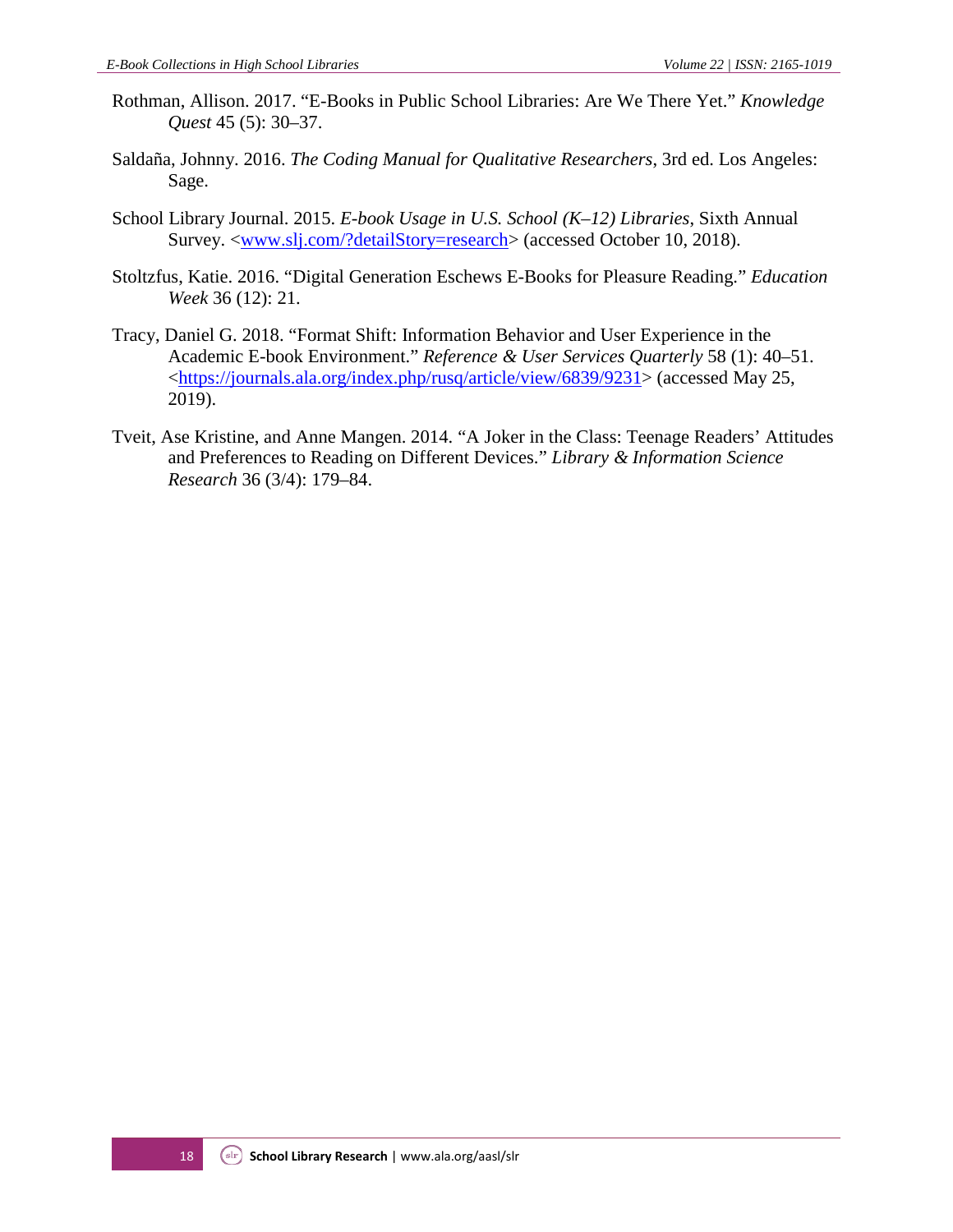- Rothman, Allison. 2017. "E-Books in Public School Libraries: Are We There Yet." *Knowledge Quest* 45 (5): 30–37.
- Saldaña, Johnny. 2016. *The Coding Manual for Qualitative Researchers*, 3rd ed. Los Angeles: Sage.
- School Library Journal. 2015. *E-book Usage in U.S. School (K–12) Libraries*, Sixth Annual Survey. [<www.slj.com/?detailStory=research>](https://www.slj.com/?detailStory=research) (accessed October 10, 2018).
- Stoltzfus, Katie. 2016. "Digital Generation Eschews E-Books for Pleasure Reading." *Education Week* 36 (12): 21.
- Tracy, Daniel G. 2018. "Format Shift: Information Behavior and User Experience in the Academic E-book Environment." *Reference & User Services Quarterly* 58 (1): 40–51. [<https://journals.ala.org/index.php/rusq/article/view/6839/9231>](https://journals.ala.org/index.php/rusq/article/view/6839/9231) (accessed May 25, 2019).
- Tveit, Ase Kristine, and Anne Mangen. 2014. "A Joker in the Class: Teenage Readers' Attitudes and Preferences to Reading on Different Devices." *Library & Information Science Research* 36 (3/4): 179–84.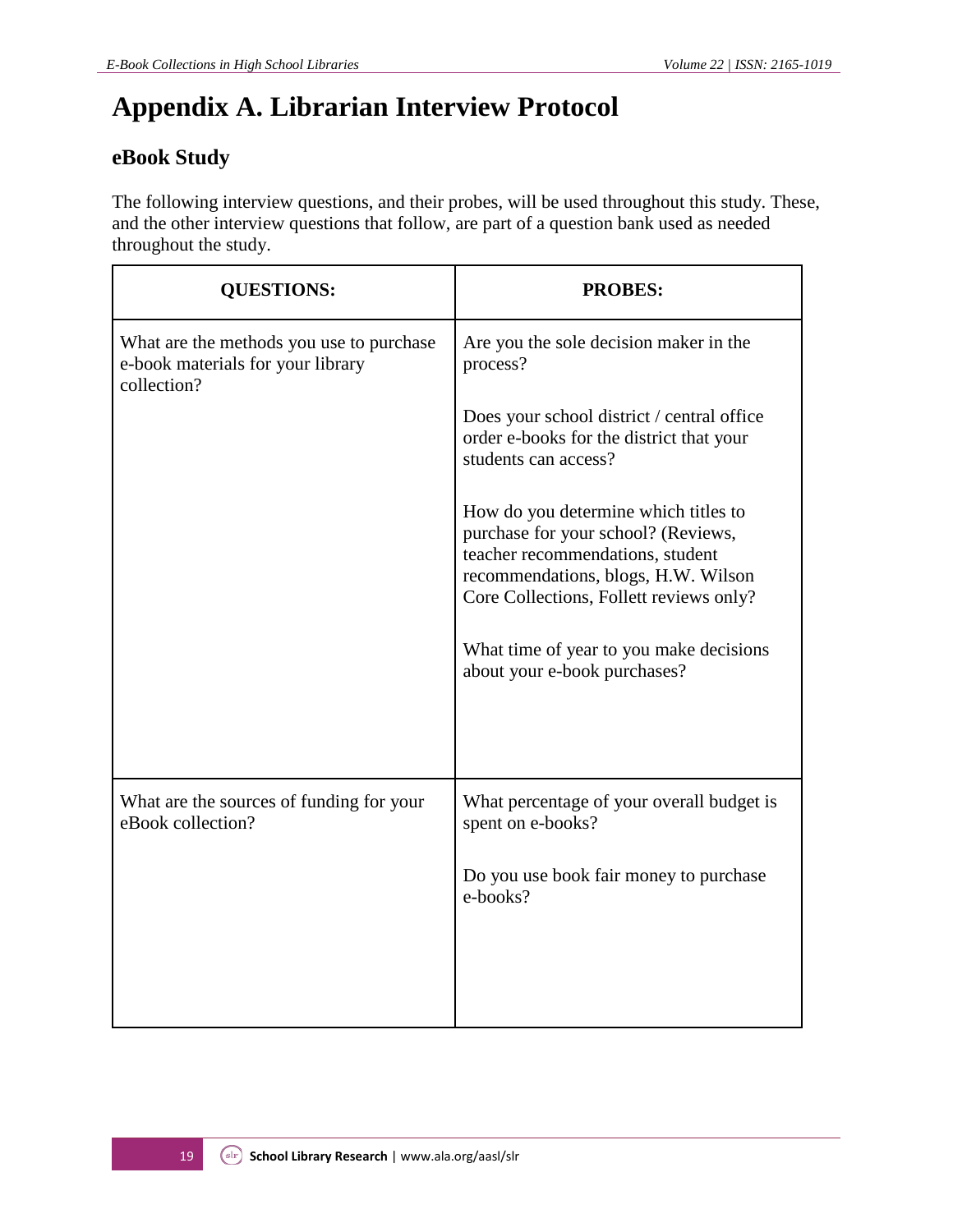## **Appendix A. Librarian Interview Protocol**

## **eBook Study**

The following interview questions, and their probes, will be used throughout this study. These, and the other interview questions that follow, are part of a question bank used as needed throughout the study.

| <b>QUESTIONS:</b>                                                                            | <b>PROBES:</b>                                                                                                                                                                                                                                                               |
|----------------------------------------------------------------------------------------------|------------------------------------------------------------------------------------------------------------------------------------------------------------------------------------------------------------------------------------------------------------------------------|
| What are the methods you use to purchase<br>e-book materials for your library<br>collection? | Are you the sole decision maker in the<br>process?                                                                                                                                                                                                                           |
|                                                                                              | Does your school district / central office<br>order e-books for the district that your<br>students can access?                                                                                                                                                               |
|                                                                                              | How do you determine which titles to<br>purchase for your school? (Reviews,<br>teacher recommendations, student<br>recommendations, blogs, H.W. Wilson<br>Core Collections, Follett reviews only?<br>What time of year to you make decisions<br>about your e-book purchases? |
| What are the sources of funding for your<br>eBook collection?                                | What percentage of your overall budget is<br>spent on e-books?                                                                                                                                                                                                               |
|                                                                                              | Do you use book fair money to purchase<br>e-books?                                                                                                                                                                                                                           |
|                                                                                              |                                                                                                                                                                                                                                                                              |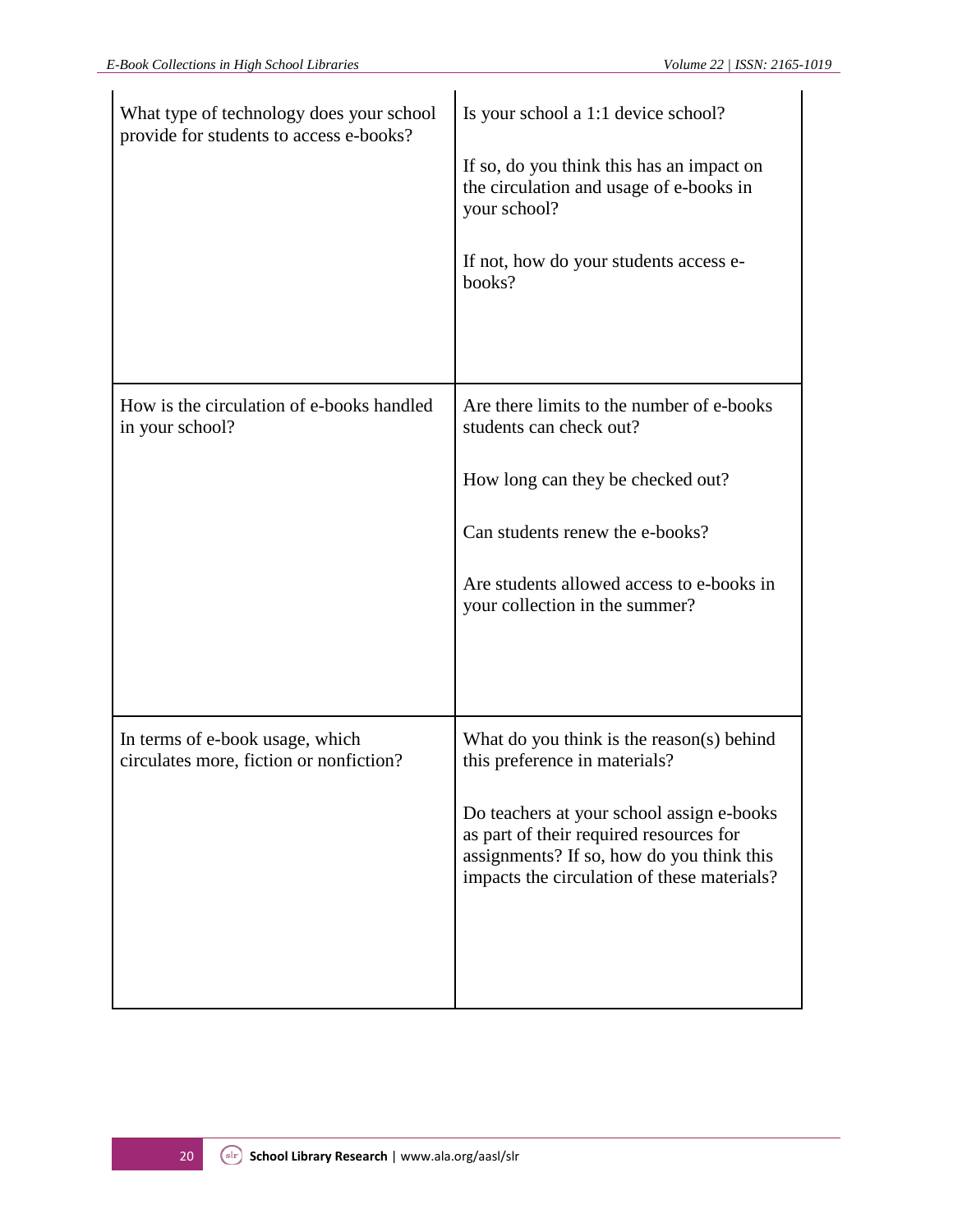| What type of technology does your school<br>provide for students to access e-books? | Is your school a 1:1 device school?<br>If so, do you think this has an impact on<br>the circulation and usage of e-books in<br>your school?<br>If not, how do your students access e-<br>books?                                                                |
|-------------------------------------------------------------------------------------|----------------------------------------------------------------------------------------------------------------------------------------------------------------------------------------------------------------------------------------------------------------|
| How is the circulation of e-books handled<br>in your school?                        | Are there limits to the number of e-books<br>students can check out?<br>How long can they be checked out?<br>Can students renew the e-books?<br>Are students allowed access to e-books in<br>your collection in the summer?                                    |
| In terms of e-book usage, which<br>circulates more, fiction or nonfiction?          | What do you think is the reason(s) behind<br>this preference in materials?<br>Do teachers at your school assign e-books<br>as part of their required resources for<br>assignments? If so, how do you think this<br>impacts the circulation of these materials? |